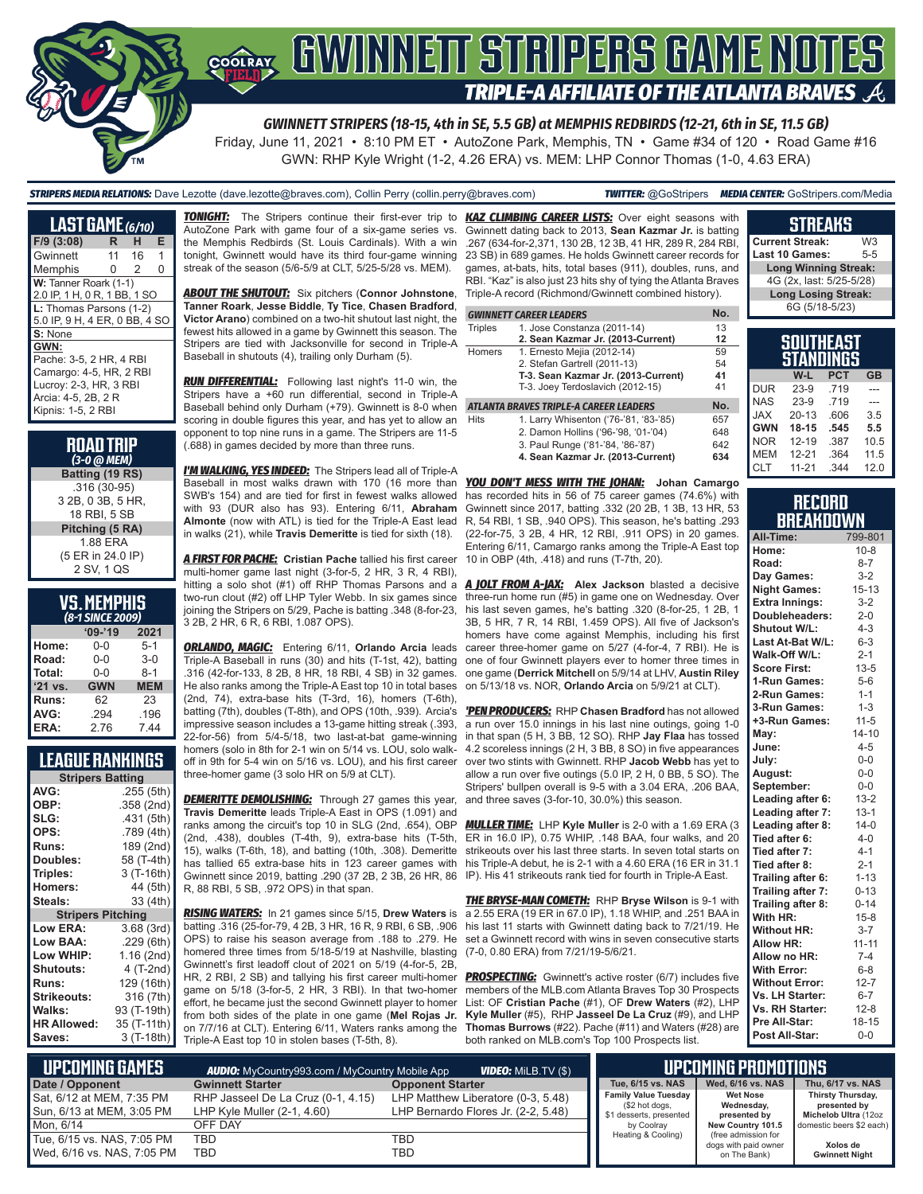

*GWINNETT STRIPERS (18-15, 4th in SE, 5.5 GB) at MEMPHIS REDBIRDS (12-21, 6th in SE, 11.5 GB)*

Friday, June 11, 2021 • 8:10 PM ET • AutoZone Park, Memphis, TN • Game #34 of 120 • Road Game #16 GWN: RHP Kyle Wright (1-2, 4.26 ERA) vs. MEM: LHP Connor Thomas (1-0, 4.63 ERA)

#### *STRIPERS MEDIA RELATIONS:* Dave Lezotte (dave.lezotte@braves.com), Collin Perry (collin.perry@braves.com) *TWITTER:* @GoStripers *MEDIA CENTER:* GoStripers.com/Media

**LAST GAME** *(6/10)* **F/9 (3:08) R H E** Gwinnett 11 16 1 Memphis 0 2 0 W: Tanner Roark (1-1) 2.0 IP, 1 H, 0 R, 1 BB, 1 SO **L:** Thomas Parsons (1-2) 5.0 IP, 9 H, 4 ER, 0 BB, 4 SO **S:** None **GWN:** Pache: 3-5, 2 HR, 4 RBI Camargo: 4-5, HR, 2 RBI Lucroy: 2-3, HR, 3 RBI Arcia: 4-5, 2B, 2 R Kipnis: 1-5, 2 RBI

#### **ROAD TRIP**  *(3-0 @ MEM)* **Batting (19 RS)** .316 (30-95) 3 2B, 0 3B, 5 HR, 18 RBI, 5 SB **Pitching (5 RA)** 1.88 ERA (5 ER in 24.0 IP) 2 SV, 1 QS

| <b>VS. MEMPHIS</b> |  |  |
|--------------------|--|--|
| (8-1 SINCE 2009)   |  |  |

| $09 - 19$  | 2021       |  |  |  |  |  |  |
|------------|------------|--|--|--|--|--|--|
| 0-0        | $5-1$      |  |  |  |  |  |  |
| $0 - 0$    | $3-0$      |  |  |  |  |  |  |
| $0 - 0$    | $8 - 1$    |  |  |  |  |  |  |
| <b>GWN</b> | <b>MEM</b> |  |  |  |  |  |  |
| 62         | 23         |  |  |  |  |  |  |
| .294       | .196       |  |  |  |  |  |  |
| 2.76       | 744        |  |  |  |  |  |  |
|            |            |  |  |  |  |  |  |

## **LEAGUE RANKINGS**

| <b>Stripers Batting</b>  |             |  |  |  |  |  |
|--------------------------|-------------|--|--|--|--|--|
| AVG:                     | .255 (5th)  |  |  |  |  |  |
| OBP:                     | .358 (2nd)  |  |  |  |  |  |
| SLG:                     | .431 (5th)  |  |  |  |  |  |
| OPS:                     | .789 (4th)  |  |  |  |  |  |
| <b>Runs:</b>             | 189 (2nd)   |  |  |  |  |  |
| Doubles:                 | 58 (T-4th)  |  |  |  |  |  |
| Triples:                 | 3 (T-16th)  |  |  |  |  |  |
| <b>Homers:</b>           | 44 (5th)    |  |  |  |  |  |
| Steals:                  | 33 (4th)    |  |  |  |  |  |
| <b>Stripers Pitching</b> |             |  |  |  |  |  |
| <b>Low ERA:</b>          | 3.68 (3rd)  |  |  |  |  |  |
| Low BAA:                 | .229(6th)   |  |  |  |  |  |
| Low WHIP:                | 1.16(2nd)   |  |  |  |  |  |
| <b>Shutouts:</b>         | 4 (T-2nd)   |  |  |  |  |  |
| <b>Runs:</b>             | 129 (16th)  |  |  |  |  |  |
| Strikeouts:              | 316 (7th)   |  |  |  |  |  |
| Walks:                   | 93 (T-19th) |  |  |  |  |  |
| <b>HR Allowed:</b>       | 35 (T-11th) |  |  |  |  |  |
| Saves:                   | 3 (T-18th)  |  |  |  |  |  |

*TONIGHT:* The Stripers continue their first-ever trip to *KAZ CLIMBING CAREER LISTS:* Over eight seasons with AutoZone Park with game four of a six-game series vs. the Memphis Redbirds (St. Louis Cardinals). With a win tonight, Gwinnett would have its third four-game winning streak of the season (5/6-5/9 at CLT, 5/25-5/28 vs. MEM).

*ABOUT THE SHUTOUT:* Six pitchers (**Connor Johnstone**, **Tanner Roark**, **Jesse Biddle**, **Ty Tice**, **Chasen Bradford**, **Victor Arano**) combined on a two-hit shutout last night, the fewest hits allowed in a game by Gwinnett this season. The Stripers are tied with Jacksonville for second in Triple-A Baseball in shutouts (4), trailing only Durham (5).

*RUN DIFFERENTIAL:* Following last night's 11-0 win, the Stripers have a +60 run differential, second in Triple-A Baseball behind only Durham (+79). Gwinnett is 8-0 when scoring in double figures this year, and has yet to allow an opponent to top nine runs in a game. The Stripers are 11-5 (.688) in games decided by more than three runs.

*I'M WALKING, YES INDEED:* The Stripers lead all of Triple-A Baseball in most walks drawn with 170 (16 more than *YOU DON'T MESS WITH THE JOHAN:* **Johan Camargo** SWB's 154) and are tied for first in fewest walks allowed with 93 (DUR also has 93). Entering 6/11, **Abraham Almonte** (now with ATL) is tied for the Triple-A East lead in walks (21), while **Travis Demeritte** is tied for sixth (18).

*A FIRST FOR PACHE:* **Cristian Pache** tallied his first career multi-homer game last night (3-for-5, 2 HR, 3 R, 4 RBI), hitting a solo shot (#1) off RHP Thomas Parsons and a two-run clout (#2) off LHP Tyler Webb. In six games since 3 2B, 2 HR, 6 R, 6 RBI, 1.087 OPS).

*ORLANDO, MAGIC:* Entering 6/11, **Orlando Arcia** leads Triple-A Baseball in runs (30) and hits (T-1st, 42), batting .316 (42-for-133, 8 2B, 8 HR, 18 RBI, 4 SB) in 32 games. He also ranks among the Triple-A East top 10 in total bases (2nd, 74), extra-base hits (T-3rd, 16), homers (T-6th), batting (7th), doubles (T-8th), and OPS (10th, .939). Arcia's impressive season includes a 13-game hitting streak (.393, 22-for-56) from 5/4-5/18, two last-at-bat game-winning homers (solo in 8th for 2-1 win on 5/14 vs. LOU, solo walkoff in 9th for 5-4 win on 5/16 vs. LOU), and his first career three-homer game (3 solo HR on 5/9 at CLT).

**DEMERITTE DEMOLISHING:** Through 27 games this year, **Travis Demeritte** leads Triple-A East in OPS (1.091) and ranks among the circuit's top 10 in SLG (2nd, .654), OBP (2nd, .438), doubles (T-4th, 9), extra-base hits (T-5th, 15), walks (T-6th, 18), and batting (10th, .308). Demeritte has tallied 65 extra-base hits in 123 career games with Gwinnett since 2019, batting .290 (37 2B, 2 3B, 26 HR, 86 R, 88 RBI, 5 SB, .972 OPS) in that span.

*RISING WATERS:* In 21 games since 5/15, **Drew Waters** is batting .316 (25-for-79, 4 2B, 3 HR, 16 R, 9 RBI, 6 SB, .906 OPS) to raise his season average from .188 to .279. He homered three times from 5/18-5/19 at Nashville, blasting (7-0, 0.80 ERA) from 7/21/19-5/6/21. Gwinnett's first leadoff clout of 2021 on 5/19 (4-for-5, 2B, HR, 2 RBI, 2 SB) and tallying his first career multi-homer game on 5/18 (3-for-5, 2 HR, 3 RBI). In that two-homer effort, he became just the second Gwinnett player to homer from both sides of the plate in one game (**Mel Rojas Jr.** on 7/7/16 at CLT). Entering 6/11, Waters ranks among the Triple-A East top 10 in stolen bases (T-5th, 8).

Gwinnett dating back to 2013, **Sean Kazmar Jr.** is batting .267 (634-for-2,371, 130 2B, 12 3B, 41 HR, 289 R, 284 RBI, 23 SB) in 689 games. He holds Gwinnett career records for games, at-bats, hits, total bases (911), doubles, runs, and RBI. "Kaz" is also just 23 hits shy of tying the Atlanta Braves Triple-A record (Richmond/Gwinnett combined history).

|                | <b>GWINNETT CAREER LEADERS</b>         | No. |
|----------------|----------------------------------------|-----|
| <b>Triples</b> | 1. Jose Constanza (2011-14)            | 13  |
|                | 2. Sean Kazmar Jr. (2013-Current)      | 12  |
| <b>Homers</b>  | 1. Ernesto Mejia (2012-14)             | 59  |
|                | 2. Stefan Gartrell (2011-13)           | 54  |
|                | T-3. Sean Kazmar Jr. (2013-Current)    | 41  |
|                | T-3. Joey Terdoslavich (2012-15)       | 41  |
|                | ATLANTA BRAVES TRIPLE-A CAREER LEADERS | No. |
| <b>Hits</b>    | 1. Larry Whisenton ('76-'81, '83-'85)  | 657 |
|                | 2. Damon Hollins ('96-'98, '01-'04)    | 648 |
|                | 3. Paul Runge ('81-'84, '86-'87)       | 642 |
|                | 4. Sean Kazmar Jr. (2013-Current)      | 634 |

has recorded hits in 56 of 75 career games (74.6%) with Gwinnett since 2017, batting .332 (20 2B, 1 3B, 13 HR, 53 R, 54 RBI, 1 SB, .940 OPS). This season, he's batting .293 (22-for-75, 3 2B, 4 HR, 12 RBI, .911 OPS) in 20 games. Entering 6/11, Camargo ranks among the Triple-A East top 10 in OBP (4th, .418) and runs (T-7th, 20).

joining the Stripers on 5/29, Pache is batting .348 (8-for-23, his last seven games, he's batting .320 (8-for-25, 1 2B, 1 *A JOLT FROM A-JAX:* **Alex Jackson** blasted a decisive three-run home run (#5) in game one on Wednesday. Over 3B, 5 HR, 7 R, 14 RBI, 1.459 OPS). All five of Jackson's homers have come against Memphis, including his first career three-homer game on 5/27 (4-for-4, 7 RBI). He is one of four Gwinnett players ever to homer three times in one game (**Derrick Mitchell** on 5/9/14 at LHV, **Austin Riley** on 5/13/18 vs. NOR, **Orlando Arcia** on 5/9/21 at CLT).

> *'PEN PRODUCERS:* RHP **Chasen Bradford** has not allowed a run over 15.0 innings in his last nine outings, going 1-0 in that span (5 H, 3 BB, 12 SO). RHP **Jay Flaa** has tossed 4.2 scoreless innings (2 H, 3 BB, 8 SO) in five appearances over two stints with Gwinnett. RHP **Jacob Webb** has yet to allow a run over five outings (5.0 IP, 2 H, 0 BB, 5 SO). The Stripers' bullpen overall is 9-5 with a 3.04 ERA, .206 BAA, and three saves (3-for-10, 30.0%) this season.

> *MULLER TIME:* LHP **Kyle Muller** is 2-0 with a 1.69 ERA (3 ER in 16.0 IP), 0.75 WHIP, .148 BAA, four walks, and 20 strikeouts over his last three starts. In seven total starts on his Triple-A debut, he is 2-1 with a 4.60 ERA (16 ER in 31.1 IP). His 41 strikeouts rank tied for fourth in Triple-A East.

> *THE BRYSE-MAN COMETH:* RHP **Bryse Wilson** is 9-1 with a 2.55 ERA (19 ER in 67.0 IP), 1.18 WHIP, and .251 BAA in his last 11 starts with Gwinnett dating back to 7/21/19. He set a Gwinnett record with wins in seven consecutive starts

> **PROSPECTING:** Gwinnett's active roster (6/7) includes five members of the MLB.com Atlanta Braves Top 30 Prospects List: OF **Cristian Pache** (#1), OF **Drew Waters** (#2), LHP **Kyle Muller** (#5), RHP **Jasseel De La Cruz** (#9), and LHP **Thomas Burrows** (#22). Pache (#11) and Waters (#28) are both ranked on MLB.com's Top 100 Prospects list.

| <b>Current Streak:</b>        | W3      |
|-------------------------------|---------|
| Last 10 Games:                | $5 - 5$ |
| <b>Long Winning Streak:</b>   |         |
| 4G (2x, last: 5/25-5/28)      |         |
| <b>Long Losing Streak:</b>    |         |
| 6G (5/18-5/23)                |         |
|                               |         |
| SOUTHEAST<br><b>STANDINGS</b> |         |

**STREAKS**

| SIANUINGS  |           |            |           |  |  |  |  |  |  |
|------------|-----------|------------|-----------|--|--|--|--|--|--|
|            | W-L       | <b>PCT</b> | <b>GB</b> |  |  |  |  |  |  |
| <b>DUR</b> | $23-9$    | .719       |           |  |  |  |  |  |  |
| <b>NAS</b> | $23-9$    | .719       | ---       |  |  |  |  |  |  |
| <b>JAX</b> | $20 - 13$ | .606       | 3.5       |  |  |  |  |  |  |
| <b>GWN</b> | $18 - 15$ | .545       | 5.5       |  |  |  |  |  |  |
| <b>NOR</b> | $12 - 19$ | .387       | 10.5      |  |  |  |  |  |  |
| <b>MEM</b> | $12 - 21$ | .364       | 11.5      |  |  |  |  |  |  |
| <b>CLT</b> | $11 - 21$ | 344        | 12.0      |  |  |  |  |  |  |

#### **RECORD BREAKDOWN**

| All-Time:             | 799-801   |
|-----------------------|-----------|
| Home:                 | $10 - 8$  |
| Road:                 | $8 - 7$   |
| Day Games:            | $3-2$     |
| <b>Night Games:</b>   | $15 - 13$ |
| <b>Extra Innings:</b> | $3-2$     |
| Doubleheaders:        | $2 - 0$   |
| <b>Shutout W/L:</b>   | $4 - 3$   |
| Last At-Bat W/L:      | $6 - 3$   |
| Walk-Off W/L:         | $2 - 1$   |
| <b>Score First:</b>   | $13 - 5$  |
| 1-Run Games:          | $5-6$     |
| 2-Run Games:          | $1 - 1$   |
| 3-Run Games:          | $1 - 3$   |
| +3-Run Games:         | $11 - 5$  |
| May:                  | $14 - 10$ |
| June:                 | $4 - 5$   |
| July:                 | $0-0$     |
| August:               | $0-0$     |
| September:            | $0-0$     |
| Leading after 6:      | $13 - 2$  |
| Leading after 7:      | $13 - 1$  |
| Leading after 8:      | $14-0$    |
| Tied after 6:         | $4-0$     |
| Tied after 7:         | $4 - 1$   |
| Tied after 8:         | $2 - 1$   |
| Trailing after 6:     | $1 - 13$  |
| Trailing after 7:     | $0 - 13$  |
| Trailing after 8:     | $0 - 14$  |
| With HR:              | $15 - 8$  |
| <b>Without HR:</b>    | $3 - 7$   |
| <b>Allow HR:</b>      | $11 - 11$ |
| Allow no HR:          | $7 - 4$   |
| <b>With Error:</b>    | $6 - 8$   |
| <b>Without Error:</b> | $12 - 7$  |
| Vs. LH Starter:       | $6 - 7$   |
| Vs. RH Starter:       | $12 - 8$  |
| Pre All-Star:         | 18-15     |
| Post All-Star:        | $0 - 0$   |

| I UPCOMING GAMES I                                         |                                                                   | I UPCOMING PROMOTIONS !                                                   |                                                                          |                                                             |                                                           |
|------------------------------------------------------------|-------------------------------------------------------------------|---------------------------------------------------------------------------|--------------------------------------------------------------------------|-------------------------------------------------------------|-----------------------------------------------------------|
| Date / Opponent                                            | <b>Gwinnett Starter</b>                                           | <b>Opponent Starter</b>                                                   | Tue. 6/15 vs. NAS                                                        | Wed. 6/16 vs. NAS                                           | Thu, 6/17 vs. NAS                                         |
| Sat, 6/12 at MEM, 7:35 PM<br>Sun, 6/13 at MEM, 3:05 PM     | RHP Jasseel De La Cruz (0-1, 4.15)<br>LHP Kyle Muller (2-1, 4.60) | LHP Matthew Liberatore (0-3, 5.48)<br>LHP Bernardo Flores Jr. (2-2, 5.48) | <b>Family Value Tuesday</b><br>(\$2 hot dogs,<br>\$1 desserts, presented | <b>Wet Nose</b><br>Wednesday,<br>presented by               | Thirsty Thursday,<br>presented by<br>Michelob Ultra (12oz |
| Mon. 6/14                                                  | OFF DAY                                                           |                                                                           | by Coolrav                                                               | New Country 101.5                                           | domestic beers \$2 each)                                  |
| Tue, 6/15 vs. NAS, 7:05 PM<br>l Wed. 6/16 vs. NAS. 7:05 PM | TBD<br>TBD                                                        | TBD<br>TBD                                                                | Heating & Cooling)                                                       | (free admission for<br>dogs with paid owner<br>on The Bank) | Xolos de<br><b>Gwinnett Night</b>                         |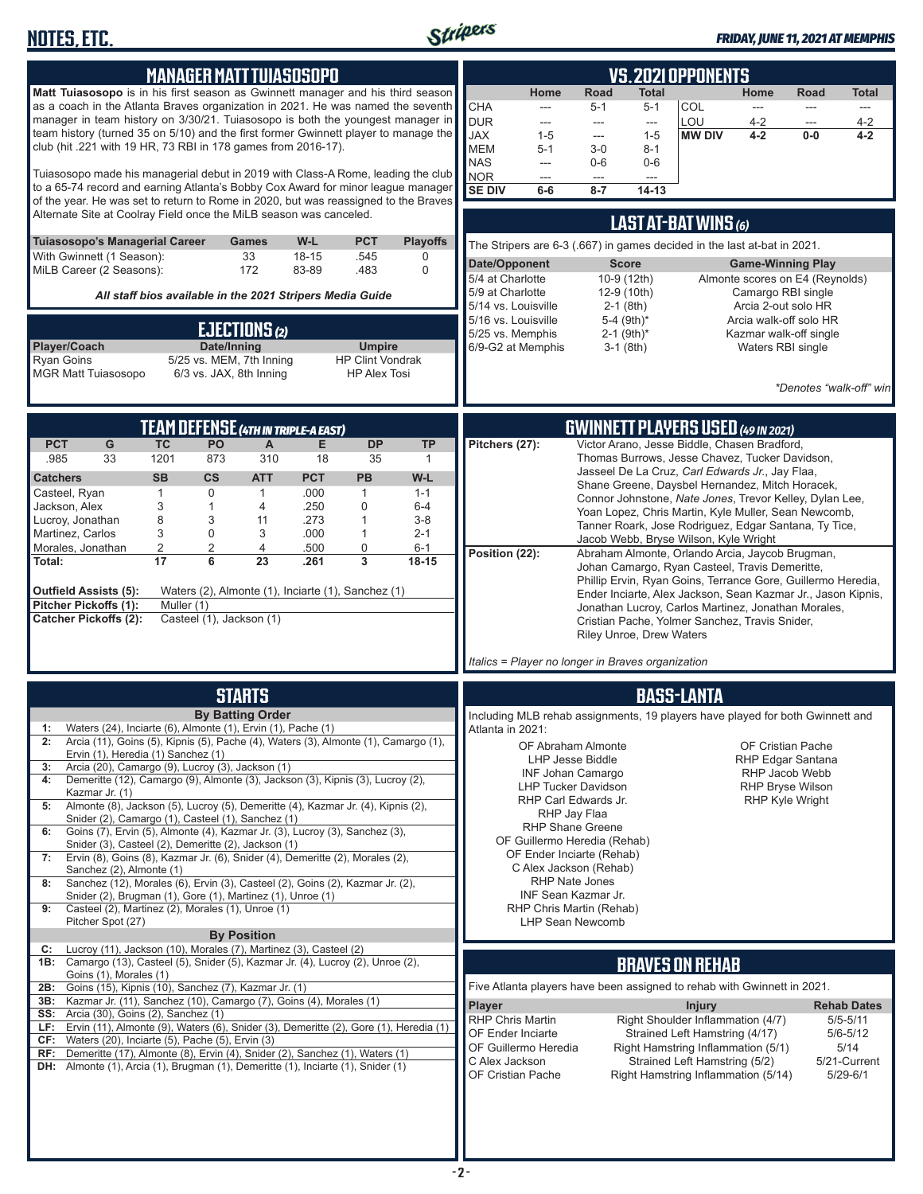

| <b>MANAGER MATTTUIASOSOPO</b>                                                                                                                                                                                                                                                                                                                                                                                                                                                                                                                                                                                                                                                                                                                                                                                                                                                                                                                                                                                                                                                 | <b>VS. 2021 OPPONENTS</b>                                                                                                                                                                                                                                                                                                                                                                                                                                                                                                                                                                                                                                                                                                                                                                                   |  |  |  |  |
|-------------------------------------------------------------------------------------------------------------------------------------------------------------------------------------------------------------------------------------------------------------------------------------------------------------------------------------------------------------------------------------------------------------------------------------------------------------------------------------------------------------------------------------------------------------------------------------------------------------------------------------------------------------------------------------------------------------------------------------------------------------------------------------------------------------------------------------------------------------------------------------------------------------------------------------------------------------------------------------------------------------------------------------------------------------------------------|-------------------------------------------------------------------------------------------------------------------------------------------------------------------------------------------------------------------------------------------------------------------------------------------------------------------------------------------------------------------------------------------------------------------------------------------------------------------------------------------------------------------------------------------------------------------------------------------------------------------------------------------------------------------------------------------------------------------------------------------------------------------------------------------------------------|--|--|--|--|
| Matt Tuiasosopo is in his first season as Gwinnett manager and his third season<br>as a coach in the Atlanta Braves organization in 2021. He was named the seventh<br>manager in team history on 3/30/21. Tuiasosopo is both the youngest manager in<br>team history (turned 35 on 5/10) and the first former Gwinnett player to manage the<br>club (hit .221 with 19 HR, 73 RBI in 178 games from 2016-17).<br>Tuiasosopo made his managerial debut in 2019 with Class-A Rome, leading the club<br>to a 65-74 record and earning Atlanta's Bobby Cox Award for minor league manager<br>of the year. He was set to return to Rome in 2020, but was reassigned to the Braves                                                                                                                                                                                                                                                                                                                                                                                                   | Road<br>Home<br>Home<br>Total<br>Road<br><b>Total</b><br><b>CHA</b><br>COL<br>$5 - 1$<br>$5 - 1$<br>---<br>---<br>---<br><b>DUR</b><br>LOU<br>$4 - 2$<br>$4 - 2$<br>---<br>---<br>---<br>---<br><b>JAX</b><br><b>MW DIV</b><br>$1 - 5$<br>$1 - 5$<br>$4 - 2$<br>$0-0$<br>$4 - 2$<br>---<br><b>MEM</b><br>$5 - 1$<br>$3-0$<br>$8 - 1$<br><b>NAS</b><br>$0-6$<br>$0-6$<br>$---$<br>NOR<br>$---$<br>$\overline{a}$<br>$\overline{a}$<br><b>SE DIV</b><br>$6-6$<br>$8 - 7$<br>$14 - 13$                                                                                                                                                                                                                                                                                                                         |  |  |  |  |
| Alternate Site at Coolray Field once the MiLB season was canceled.                                                                                                                                                                                                                                                                                                                                                                                                                                                                                                                                                                                                                                                                                                                                                                                                                                                                                                                                                                                                            | LAST AT-BAT WINS (6)                                                                                                                                                                                                                                                                                                                                                                                                                                                                                                                                                                                                                                                                                                                                                                                        |  |  |  |  |
| Tuiasosopo's Managerial Career<br>W-L<br><b>PCT</b><br><b>Playoffs</b><br>Games<br>With Gwinnett (1 Season):<br>33<br>$18 - 15$<br>.545<br>0<br>172<br>MiLB Career (2 Seasons):<br>83-89<br>$\Omega$<br>.483<br>All staff bios available in the 2021 Stripers Media Guide                                                                                                                                                                                                                                                                                                                                                                                                                                                                                                                                                                                                                                                                                                                                                                                                     | The Stripers are 6-3 (.667) in games decided in the last at-bat in 2021.<br>Date/Opponent<br><b>Score</b><br><b>Game-Winning Play</b><br>5/4 at Charlotte<br>Almonte scores on E4 (Reynolds)<br>10-9 (12th)<br>5/9 at Charlotte<br>12-9 (10th)<br>Camargo RBI single<br>5/14 vs. Louisville<br>$2-1$ (8th)<br>Arcia 2-out solo HR                                                                                                                                                                                                                                                                                                                                                                                                                                                                           |  |  |  |  |
| EJECTIONS(2)<br>Player/Coach<br>Date/Inning<br><b>Umpire</b><br><b>Ryan Goins</b><br>5/25 vs. MEM, 7th Inning<br><b>HP Clint Vondrak</b><br><b>MGR Matt Tuiasosopo</b><br>6/3 vs. JAX, 8th Inning<br><b>HP Alex Tosi</b>                                                                                                                                                                                                                                                                                                                                                                                                                                                                                                                                                                                                                                                                                                                                                                                                                                                      | 5/16 vs. Louisville<br>5-4 (9th)*<br>Arcia walk-off solo HR<br>5/25 vs. Memphis<br>$2-1$ (9th)*<br>Kazmar walk-off single<br>6/9-G2 at Memphis<br>$3-1$ (8th)<br>Waters RBI single<br>*Denotes "walk-off" win                                                                                                                                                                                                                                                                                                                                                                                                                                                                                                                                                                                               |  |  |  |  |
| TEAM DEFENSE (4TH IN TRIPLE-A EAST)                                                                                                                                                                                                                                                                                                                                                                                                                                                                                                                                                                                                                                                                                                                                                                                                                                                                                                                                                                                                                                           | <b>GWINNETT PLAYERS USED (49 IN 2021)</b>                                                                                                                                                                                                                                                                                                                                                                                                                                                                                                                                                                                                                                                                                                                                                                   |  |  |  |  |
| <b>PCT</b><br>G<br><b>TC</b><br>PO<br><b>DP</b><br>Е<br><b>TP</b><br>A<br>1201<br>310<br>.985<br>33<br>873<br>18<br>35<br>$\mathbf{1}$<br><b>SB</b><br><b>CS</b><br><b>ATT</b><br><b>PCT</b><br><b>PB</b><br>W-L<br><b>Catchers</b><br>$\mathbf 0$<br>.000<br>Casteel, Ryan<br>1<br>$\mathbf{1}$<br>1<br>$1 - 1$<br>3<br>$\mathbf{1}$<br>.250<br>$\mathbf 0$<br>$6 - 4$<br>Jackson, Alex<br>$\overline{4}$<br>8<br>3<br>Lucroy, Jonathan<br>.273<br>$\mathbf{1}$<br>$3 - 8$<br>11<br>3<br>0<br>Martinez, Carlos<br>3<br>.000<br>$\mathbf{1}$<br>$2 - 1$<br>$\overline{c}$<br>$\overline{2}$<br>0<br>4<br>$6 - 1$<br>Morales, Jonathan<br>.500<br>17<br>6<br>23<br>3<br>Total:<br>.261<br>$18 - 15$<br>Waters (2), Almonte (1), Inciarte (1), Sanchez (1)<br>Outfield Assists (5):<br>Pitcher Pickoffs (1):<br>Muller (1)<br>Casteel (1), Jackson (1)<br><b>Catcher Pickoffs (2):</b>                                                                                                                                                                                          | Victor Arano, Jesse Biddle, Chasen Bradford,<br>Pitchers (27):<br>Thomas Burrows, Jesse Chavez, Tucker Davidson,<br>Jasseel De La Cruz, Carl Edwards Jr., Jay Flaa,<br>Shane Greene, Daysbel Hernandez, Mitch Horacek,<br>Connor Johnstone, Nate Jones, Trevor Kelley, Dylan Lee,<br>Yoan Lopez, Chris Martin, Kyle Muller, Sean Newcomb,<br>Tanner Roark, Jose Rodriguez, Edgar Santana, Ty Tice,<br>Jacob Webb, Bryse Wilson, Kyle Wright<br>Position (22):<br>Abraham Almonte, Orlando Arcia, Jaycob Brugman,<br>Johan Camargo, Ryan Casteel, Travis Demeritte,<br>Phillip Ervin, Ryan Goins, Terrance Gore, Guillermo Heredia,<br>Ender Inciarte, Alex Jackson, Sean Kazmar Jr., Jason Kipnis,<br>Jonathan Lucroy, Carlos Martinez, Jonathan Morales,<br>Cristian Pache, Yolmer Sanchez, Travis Snider, |  |  |  |  |
|                                                                                                                                                                                                                                                                                                                                                                                                                                                                                                                                                                                                                                                                                                                                                                                                                                                                                                                                                                                                                                                                               | <b>Riley Unroe, Drew Waters</b><br>Italics = Player no longer in Braves organization                                                                                                                                                                                                                                                                                                                                                                                                                                                                                                                                                                                                                                                                                                                        |  |  |  |  |
| <b>STARTS</b>                                                                                                                                                                                                                                                                                                                                                                                                                                                                                                                                                                                                                                                                                                                                                                                                                                                                                                                                                                                                                                                                 | <b>BASS-LANTA</b>                                                                                                                                                                                                                                                                                                                                                                                                                                                                                                                                                                                                                                                                                                                                                                                           |  |  |  |  |
| <b>By Batting Order</b><br>Waters (24), Inciarte (6), Almonte (1), Ervin (1), Pache (1)<br>1:<br>Arcia (11), Goins (5), Kipnis (5), Pache (4), Waters (3), Almonte (1), Camargo (1),<br>2:<br>Ervin (1), Heredia (1) Sanchez (1)<br>Arcia (20), Camargo (9), Lucroy (3), Jackson (1)<br>3:<br>Demeritte (12), Camargo (9), Almonte (3), Jackson (3), Kipnis (3), Lucroy (2),<br>4:<br>Kazmar Jr. (1)<br>Almonte (8), Jackson (5), Lucroy (5), Demeritte (4), Kazmar Jr. (4), Kipnis (2),<br>5:<br>Snider (2), Camargo (1), Casteel (1), Sanchez (1)<br>Goins (7), Ervin (5), Almonte (4), Kazmar Jr. (3), Lucroy (3), Sanchez (3),<br>6:<br>Snider (3), Casteel (2), Demeritte (2), Jackson (1)<br>Ervin (8), Goins (8), Kazmar Jr. (6), Snider (4), Demeritte (2), Morales (2),<br>7:<br>Sanchez (2), Almonte (1)<br>Sanchez (12), Morales (6), Ervin (3), Casteel (2), Goins (2), Kazmar Jr. (2),<br>8:<br>Snider (2), Brugman (1), Gore (1), Martinez (1), Unroe (1)<br>Casteel (2), Martinez (2), Morales (1), Unroe (1)<br>9:<br>Pitcher Spot (27)<br><b>By Position</b> | Including MLB rehab assignments, 19 players have played for both Gwinnett and<br>Atlanta in 2021:<br>OF Abraham Almonte<br>OF Cristian Pache<br>LHP Jesse Biddle<br><b>RHP Edgar Santana</b><br><b>INF Johan Camargo</b><br>RHP Jacob Webb<br><b>LHP Tucker Davidson</b><br><b>RHP Bryse Wilson</b><br>RHP Carl Edwards Jr.<br>RHP Kyle Wright<br>RHP Jay Flaa<br><b>RHP Shane Greene</b><br>OF Guillermo Heredia (Rehab)<br>OF Ender Inciarte (Rehab)<br>C Alex Jackson (Rehab)<br><b>RHP Nate Jones</b><br><b>INF Sean Kazmar Jr.</b><br>RHP Chris Martin (Rehab)<br><b>LHP Sean Newcomb</b>                                                                                                                                                                                                              |  |  |  |  |
| Lucroy (11), Jackson (10), Morales (7), Martinez (3), Casteel (2)<br>C:<br><b>1B:</b> Camargo (13), Casteel (5), Snider (5), Kazmar Jr. (4), Lucroy (2), Unroe (2),                                                                                                                                                                                                                                                                                                                                                                                                                                                                                                                                                                                                                                                                                                                                                                                                                                                                                                           | <b>BRAVES ON REHAB</b>                                                                                                                                                                                                                                                                                                                                                                                                                                                                                                                                                                                                                                                                                                                                                                                      |  |  |  |  |
| Goins (1), Morales (1)<br>Goins (15), Kipnis (10), Sanchez (7), Kazmar Jr. (1)<br>2B:                                                                                                                                                                                                                                                                                                                                                                                                                                                                                                                                                                                                                                                                                                                                                                                                                                                                                                                                                                                         | Five Atlanta players have been assigned to rehab with Gwinnett in 2021.                                                                                                                                                                                                                                                                                                                                                                                                                                                                                                                                                                                                                                                                                                                                     |  |  |  |  |
| Kazmar Jr. (11), Sanchez (10), Camargo (7), Goins (4), Morales (1)<br>3B:<br><b>SS:</b> Arcia (30), Goins (2), Sanchez (1)<br>LF: Ervin (11), Almonte (9), Waters (6), Snider (3), Demeritte (2), Gore (1), Heredia (1)<br>$CF:$ Waters (20), Inciarte (5), Pache (5), Ervin (3)<br>RF: Demeritte (17), Almonte (8), Ervin (4), Snider (2), Sanchez (1), Waters (1)<br><b>DH:</b> Almonte (1), Arcia (1), Brugman (1), Demeritte (1), Inciarte (1), Snider (1)                                                                                                                                                                                                                                                                                                                                                                                                                                                                                                                                                                                                                | <b>Player</b><br><b>Injury</b><br><b>Rehab Dates</b><br><b>RHP Chris Martin</b><br>Right Shoulder Inflammation (4/7)<br>$5/5 - 5/11$<br>OF Ender Inciarte<br>Strained Left Hamstring (4/17)<br>$5/6 - 5/12$<br>OF Guillermo Heredia<br>Right Hamstring Inflammation (5/1)<br>5/14<br>C Alex Jackson<br>Strained Left Hamstring (5/2)<br>5/21-Current<br>OF Cristian Pache<br>Right Hamstring Inflammation (5/14)<br>$5/29 - 6/1$                                                                                                                                                                                                                                                                                                                                                                            |  |  |  |  |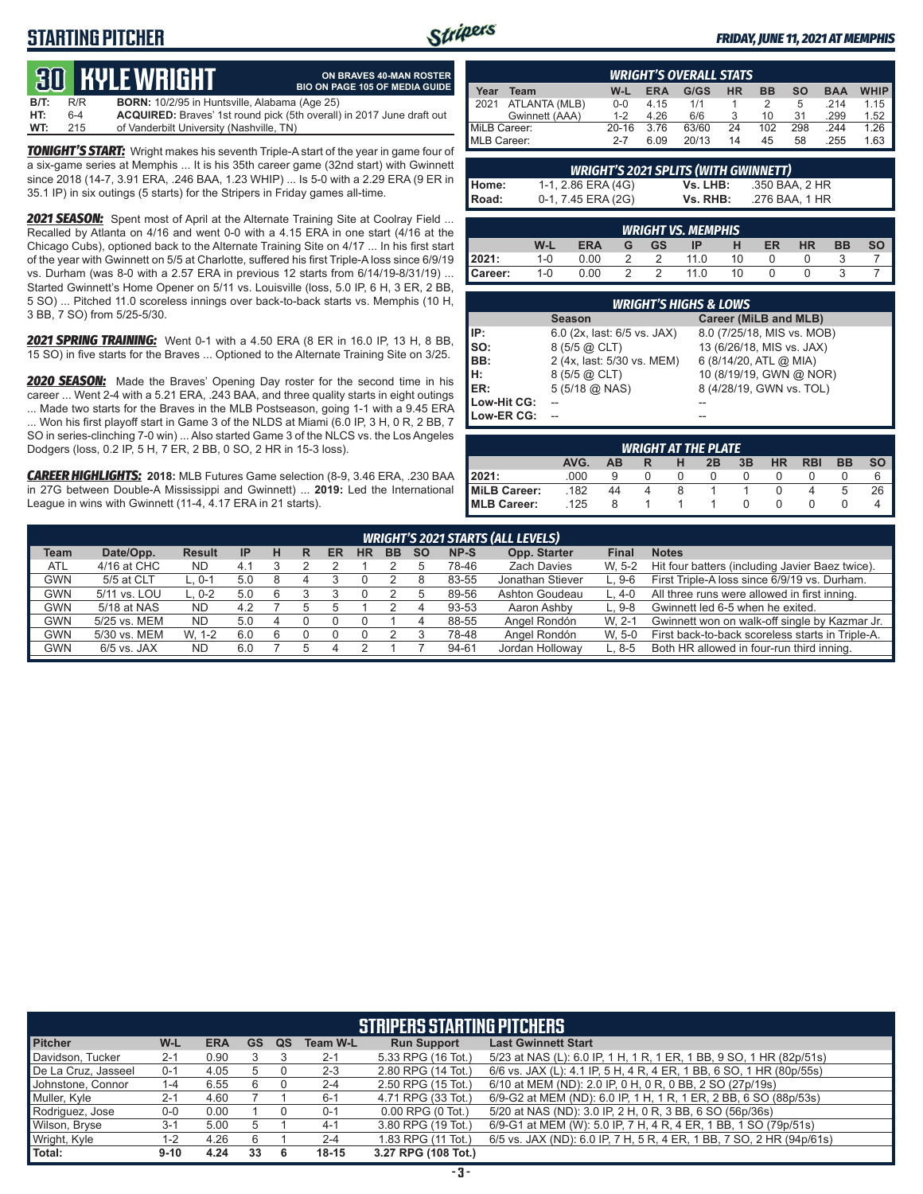# **STARTING PITCHER**



#### *FRIDAY, JUNE 11, 2021 AT MEMPHIS*

# **30****KYLE WRIGHT B/T:** R/R **BORN:** 10<br>**HT:** 6-4 **ACQUIRE**

|      |     | QU TILL WIRTH                                        | <b>BIO ON PAGE 105 OF MEDIA GUIDE</b>                                        |
|------|-----|------------------------------------------------------|------------------------------------------------------------------------------|
| B/T: | R/R | <b>BORN:</b> 10/2/95 in Huntsville, Alabama (Age 25) |                                                                              |
| HT:  | 6-4 |                                                      | <b>ACQUIRED:</b> Braves' 1st round pick (5th overall) in 2017 June draft out |
| WT:  | 215 | of Vanderbilt University (Nashville, TN)             |                                                                              |

**ON BRAVES 40-MAN ROSTER**

*TONIGHT'S START:* Wright makes his seventh Triple-A start of the year in game four of a six-game series at Memphis ... It is his 35th career game (32nd start) with Gwinnett since 2018 (14-7, 3.91 ERA, .246 BAA, 1.23 WHIP) ... Is 5-0 with a 2.29 ERA (9 ER in 35.1 IP) in six outings (5 starts) for the Stripers in Friday games all-time.

*2021 SEASON:* Spent most of April at the Alternate Training Site at Coolray Field ... Recalled by Atlanta on 4/16 and went 0-0 with a 4.15 ERA in one start (4/16 at the Chicago Cubs), optioned back to the Alternate Training Site on 4/17 ... In his first start of the year with Gwinnett on 5/5 at Charlotte, suffered his first Triple-A loss since 6/9/19 vs. Durham (was 8-0 with a 2.57 ERA in previous 12 starts from 6/14/19-8/31/19) ... Started Gwinnett's Home Opener on 5/11 vs. Louisville (loss, 5.0 IP, 6 H, 3 ER, 2 BB, 5 SO) ... Pitched 11.0 scoreless innings over back-to-back starts vs. Memphis (10 H, 3 BB, 7 SO) from 5/25-5/30.

*2021 SPRING TRAINING:* Went 0-1 with a 4.50 ERA (8 ER in 16.0 IP, 13 H, 8 BB, 15 SO) in five starts for the Braves ... Optioned to the Alternate Training Site on 3/25.

*2020 SEASON:* Made the Braves' Opening Day roster for the second time in his career ... Went 2-4 with a 5.21 ERA, .243 BAA, and three quality starts in eight outings ... Made two starts for the Braves in the MLB Postseason, going 1-1 with a 9.45 ERA ... Won his first playoff start in Game 3 of the NLDS at Miami (6.0 IP, 3 H, 0 R, 2 BB, 7 SO in series-clinching 7-0 win) ... Also started Game 3 of the NLCS vs. the Los Angeles Dodgers (loss, 0.2 IP, 5 H, 7 ER, 2 BB, 0 SO, 2 HR in 15-3 loss).

*CAREER HIGHLIGHTS:* **2018:** MLB Futures Game selection (8-9, 3.46 ERA, .230 BAA in 27G between Double-A Mississippi and Gwinnett) ... **2019:** Led the International League in wins with Gwinnett (11-4, 4.17 ERA in 21 starts).

| <b>WRIGHT'S OVERALL STATS</b> |                |           |            |       |           |           |     |            |             |
|-------------------------------|----------------|-----------|------------|-------|-----------|-----------|-----|------------|-------------|
| Year                          | Team           | W-L       | <b>ERA</b> | G/GS  | <b>HR</b> | <b>BB</b> | so  | <b>BAA</b> | <b>WHIP</b> |
| 2021                          | ATLANTA (MLB)  | $0 - 0$   | 4.15       | 1/1   |           |           | 5   | 214        | 1.15        |
|                               | Gwinnett (AAA) | $1 - 2$   | 4.26       | 6/6   |           | 10        | 31  | .299       | 1.52        |
| MiLB Career:                  |                | $20 - 16$ | 3.76       | 63/60 | 24        | 102       | 298 | .244       | 1.26        |
|                               | MLB Career:    |           | 6.09       | 20/13 | 14        | 45        | 58  | .255       | 1.63        |

| <b>WRIGHT'S 2021 SPLITS (WITH GWINNETT)</b> |                    |          |                |  |  |  |  |
|---------------------------------------------|--------------------|----------|----------------|--|--|--|--|
|                                             | 1-1, 2.86 ERA (4G) | Vs. LHB: | .350 BAA, 2 HR |  |  |  |  |
| Home:<br>Road:                              | 0-1, 7.45 ERA (2G) | Vs. RHB: | .276 BAA. 1 HR |  |  |  |  |

|           |     |            |   |           | <b>WRIGHT VS. MEMPHIS.</b> |    |    |    |           |  |
|-----------|-----|------------|---|-----------|----------------------------|----|----|----|-----------|--|
|           | W-L | <b>ERA</b> | G | <b>GS</b> | IP                         |    | ER | HR | <b>BB</b> |  |
| 2021:     | 1-0 | 0.00       |   |           | 11 N                       | 10 |    |    |           |  |
| l Career: | 1-0 | 0.00       |   |           | 11 <sub>0</sub>            | 10 |    |    |           |  |

|             | <b>WRIGHT'S HIGHS &amp; LOWS</b> |                            |
|-------------|----------------------------------|----------------------------|
|             | <b>Season</b>                    | Career (MiLB and MLB)      |
| IP:         | 6.0 (2x, last: 6/5 vs. JAX)      | 8.0 (7/25/18, MIS vs. MOB) |
| so:         | $8(5/5)$ $@$ CLT)                | 13 (6/26/18, MIS vs. JAX)  |
| BB:         | 2 (4x, last: 5/30 vs. MEM)       | 6 (8/14/20, ATL @ MIA)     |
| H:<br>ER:   | $8(5/5)$ $@$ CLT)                | 10 (8/19/19, GWN @ NOR)    |
|             | $5(5/18)$ ( $0$ NAS)             | 8 (4/28/19, GWN vs. TOL)   |
| Low-Hit CG: |                                  |                            |
| Low-ER CG:  |                                  |                            |

|                     |      |           |   |   | <b>WRIGHT AT THE PLATE</b> |    |           |            |           |           |
|---------------------|------|-----------|---|---|----------------------------|----|-----------|------------|-----------|-----------|
|                     | AVG. | <b>AB</b> |   | н | 2B                         | 3B | <b>HR</b> | <b>RBI</b> | <b>BB</b> | <b>SO</b> |
| 2021:               | .000 | g         |   |   | 0                          |    |           |            |           | 6         |
| MiLB Career:        | .182 | 44        | 4 |   |                            |    |           |            | b         | 26        |
| <b>IMLB Career:</b> | .125 | 8         |   |   |                            |    |           |            |           |           |

|             | <b>WRIGHT'S 2021 STARTS (ALL LEVELS)</b> |               |           |   |   |    |           |           |           |       |                    |         |                                                  |
|-------------|------------------------------------------|---------------|-----------|---|---|----|-----------|-----------|-----------|-------|--------------------|---------|--------------------------------------------------|
| <b>Team</b> | Date/Opp.                                | <b>Result</b> | <b>IP</b> | н | R | ER | <b>HR</b> | <b>BB</b> | <b>SO</b> | NP-S  | Opp. Starter       | Final   | <b>Notes</b>                                     |
| <b>ATL</b>  | 4/16 at CHC                              | ND            | 4.1       |   |   |    |           |           |           | 78-46 | <b>Zach Davies</b> | W. 5-2  | Hit four batters (including Javier Baez twice).  |
| GWN         | 5/5 at CLT                               | ∟. 0-1        | 5.0       | 8 |   |    |           |           |           | 83-55 | Jonathan Stiever   | $L.9-6$ | First Triple-A loss since 6/9/19 vs. Durham.     |
| <b>GWN</b>  | 5/11 vs. LOU                             | L. 0-2        | 5.0       | 6 |   |    |           |           |           | 89-56 | Ashton Goudeau     | L. 4-0  | All three runs were allowed in first inning.     |
| <b>GWN</b>  | 5/18 at NAS                              | ND            | 4.2       |   |   |    |           |           |           | 93-53 | Aaron Ashby        | $L.9-8$ | Gwinnett led 6-5 when he exited.                 |
| GWN         | 5/25 vs. MEM                             | ND            | 5.0       |   |   |    |           |           |           | 88-55 | Angel Rondón       | W. 2-1  | Gwinnett won on walk-off single by Kazmar Jr.    |
| GWN         | 5/30 vs. MEM                             | W. 1-2        | 6.0       |   |   |    |           |           |           | 78-48 | Angel Rondón       | W. 5-0  | First back-to-back scoreless starts in Triple-A. |
| <b>GWN</b>  | $6/5$ vs. JAX                            | ND            | 6.0       |   |   |    |           |           |           | 94-61 | Jordan Holloway    | $L.8-5$ | Both HR allowed in four-run third inning.        |

| <b>STRIPERS STARTING PITCHERS</b> |          |            |           |    |                 |                       |                                                                      |  |  |  |  |
|-----------------------------------|----------|------------|-----------|----|-----------------|-----------------------|----------------------------------------------------------------------|--|--|--|--|
| <b>Pitcher</b>                    | W-L      | <b>ERA</b> | <b>GS</b> | QS | <b>Team W-L</b> | <b>Run Support</b>    | <b>Last Gwinnett Start</b>                                           |  |  |  |  |
| Davidson, Tucker                  | $2 - 1$  | 0.90       |           |    | $2 - 1$         | 5.33 RPG (16 Tot.)    | 5/23 at NAS (L): 6.0 IP, 1 H, 1 R, 1 ER, 1 BB, 9 SO, 1 HR (82p/51s)  |  |  |  |  |
| De La Cruz, Jasseel               | $0 - 1$  | 4.05       | b         |    | $2 - 3$         | 2.80 RPG (14 Tot.)    | 6/6 vs. JAX (L): 4.1 IP, 5 H, 4 R, 4 ER, 1 BB, 6 SO, 1 HR (80p/55s)  |  |  |  |  |
| Johnstone, Connor                 | $1 - 4$  | 6.55       | 6         |    | $2 - 4$         | 2.50 RPG (15 Tot.)    | 6/10 at MEM (ND): 2.0 IP, 0 H, 0 R, 0 BB, 2 SO (27p/19s)             |  |  |  |  |
| Muller, Kyle                      | $2 - 1$  | 4.60       |           |    | $6 - 1$         | 4.71 RPG (33 Tot.)    | 6/9-G2 at MEM (ND): 6.0 IP, 1 H, 1 R, 1 ER, 2 BB, 6 SO (88p/53s)     |  |  |  |  |
| Rodriguez, Jose                   | $0-0$    | 0.00       |           |    | $0 - 1$         | $0.00$ RPG $(0$ Tot.) | 5/20 at NAS (ND): 3.0 IP, 2 H, 0 R, 3 BB, 6 SO (56p/36s)             |  |  |  |  |
| Wilson, Bryse                     | $3 - 1$  | 5.00       | :5        |    | $4 - 1$         | 3.80 RPG (19 Tot.)    | 6/9-G1 at MEM (W): 5.0 IP, 7 H, 4 R, 4 ER, 1 BB, 1 SO (79p/51s)      |  |  |  |  |
| Wright, Kyle                      | $1 - 2$  | 4.26       | 6         |    | $2 - 4$         | 1.83 RPG (11 Tot.)    | 6/5 vs. JAX (ND): 6.0 IP, 7 H, 5 R, 4 ER, 1 BB, 7 SO, 2 HR (94p/61s) |  |  |  |  |
| Total:                            | $9 - 10$ | 4.24       | 33        | 6  | $18 - 15$       | 3.27 RPG (108 Tot.)   |                                                                      |  |  |  |  |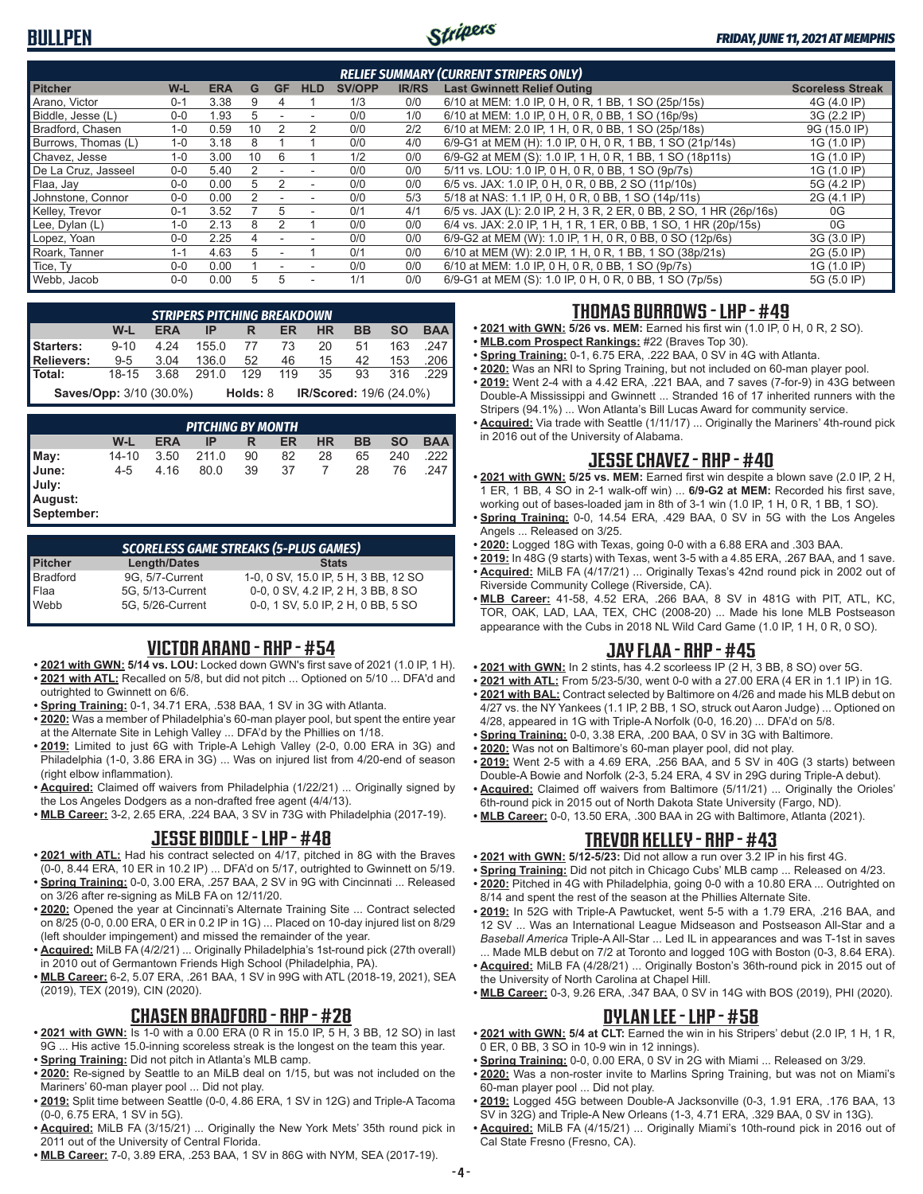# **BULLPEN**



| <b>RELIEF SUMMARY (CURRENT STRIPERS ONLY)</b> |         |            |    |           |                          |               |              |                                                                     |                         |  |
|-----------------------------------------------|---------|------------|----|-----------|--------------------------|---------------|--------------|---------------------------------------------------------------------|-------------------------|--|
| <b>Pitcher</b>                                | W-L     | <b>ERA</b> | G  | <b>GF</b> | <b>HLD</b>               | <b>SV/OPP</b> | <b>IR/RS</b> | <b>Last Gwinnett Relief Outing</b>                                  | <b>Scoreless Streak</b> |  |
| Arano, Victor                                 | $0 - 1$ | 3.38       |    | 4         |                          | 1/3           | 0/0          | 6/10 at MEM: 1.0 IP, 0 H, 0 R, 1 BB, 1 SO (25p/15s)                 | 4G (4.0 IP)             |  |
| Biddle, Jesse (L)                             | $0 - 0$ | .93        | .h |           |                          | 0/0           | 1/0          | 6/10 at MEM: 1.0 IP, 0 H, 0 R, 0 BB, 1 SO (16p/9s)                  | 3G (2.2 IP)             |  |
| Bradford, Chasen                              | $1 - 0$ | 0.59       | 10 |           | 2                        | 0/0           | 2/2          | 6/10 at MEM: 2.0 IP, 1 H, 0 R, 0 BB, 1 SO (25p/18s)                 | 9G (15.0 IP)            |  |
| Burrows, Thomas (L)                           | $1 - 0$ | 3.18       |    |           |                          | 0/0           | 4/0          | 6/9-G1 at MEM (H): 1.0 IP, 0 H, 0 R, 1 BB, 1 SO (21p/14s)           | 1G (1.0 IP)             |  |
| Chavez. Jesse                                 | $1 - 0$ | 3.00       | 10 | 6         |                          | 1/2           | 0/0          | 6/9-G2 at MEM (S): 1.0 IP, 1 H, 0 R, 1 BB, 1 SO (18p11s)            | 1G (1.0 IP)             |  |
| De La Cruz, Jasseel                           | $0 - 0$ | 5.40       | 2  |           | ۰                        | 0/0           | 0/0          | 5/11 vs. LOU: 1.0 IP, 0 H, 0 R, 0 BB, 1 SO (9p/7s)                  | 1G (1.0 IP)             |  |
| Flaa, Jay                                     | $0 - 0$ | 0.00       | 5  |           | $\overline{\phantom{a}}$ | 0/0           | 0/0          | 6/5 vs. JAX: 1.0 IP, 0 H, 0 R, 0 BB, 2 SO (11p/10s)                 | 5G (4.2 IP)             |  |
| Johnstone, Connor                             | $0 - 0$ | 0.00       |    |           | $\overline{\phantom{a}}$ | 0/0           | 5/3          | 5/18 at NAS: 1.1 IP, 0 H, 0 R, 0 BB, 1 SO (14p/11s)                 | 2G (4.1 IP)             |  |
| Kelley, Trevor                                | $0 - 1$ | 3.52       |    | 5         | $\sim$                   | 0/1           | 4/1          | 6/5 vs. JAX (L): 2.0 IP, 2 H, 3 R, 2 ER, 0 BB, 2 SO, 1 HR (26p/16s) | 0G                      |  |
| Lee, Dylan (L)                                | $1 - 0$ | 2.13       | 8  |           |                          | 0/0           | 0/0          | 6/4 vs. JAX: 2.0 IP, 1 H, 1 R, 1 ER, 0 BB, 1 SO, 1 HR (20p/15s)     | 0G                      |  |
| Lopez, Yoan                                   | $0 - 0$ | 2.25       | 4  |           |                          | 0/0           | 0/0          | 6/9-G2 at MEM (W): 1.0 IP, 1 H, 0 R, 0 BB, 0 SO (12p/6s)            | 3G (3.0 IP)             |  |
| Roark, Tanner                                 | $1 - 1$ | 4.63       | 5  |           |                          | 0/1           | 0/0          | 6/10 at MEM (W): 2.0 IP, 1 H, 0 R, 1 BB, 1 SO (38p/21s)             | 2G (5.0 IP)             |  |
| Tice, Ty                                      | $0 - 0$ | 0.00       |    |           | ۰                        | 0/0           | 0/0          | 6/10 at MEM: 1.0 IP, 0 H, 0 R, 0 BB, 1 SO (9p/7s)                   | 1G (1.0 IP)             |  |
| Webb, Jacob                                   | $0 - 0$ | 0.00       | 5. | 5         | ۰                        | 1/1           | 0/0          | 6/9-G1 at MEM (S): 1.0 IP, 0 H, 0 R, 0 BB, 1 SO (7p/5s)             | 5G (5.0 IP)             |  |

| <b>STRIPERS PITCHING BREAKDOWN</b> |          |            |          |          |     |           |              |           |                         |  |
|------------------------------------|----------|------------|----------|----------|-----|-----------|--------------|-----------|-------------------------|--|
|                                    | W-L      | <b>ERA</b> | IP       | R        | ER. | <b>HR</b> | <b>BB</b>    | <b>SO</b> | <b>BAA</b>              |  |
| Starters:                          | $9 - 10$ | 4.24       | 155.0 77 |          | 73  | 20        | 51           | 163       | .247                    |  |
| <b>Relievers:</b>                  | $9 - 5$  | 3.04       | 136.0    | 52       |     |           | 46 15 42 153 |           | .206                    |  |
| Total:                             | $18-15$  | 3.68       | 291.0    | 129      | 119 | 35        |              | 93 316    | .229 ∎                  |  |
| <b>Saves/Opp:</b> 3/10 (30.0%)     |          |            |          | Holds: 8 |     |           |              |           | IR/Scored: 19/6 (24.0%) |  |

*PITCHING BY MONTH* **W-L ERA IP R ER HR BB SO BAA May:** 14-10 3.50 211.0 90 82 28 65 240 .222 **June:** 4-5 4.16 80.0 39 37 7 28 76 .247 **July: August: September:**

*SCORELESS GAME STREAKS (5-PLUS GAMES)* **Pitcher Length/Dates Stats** Bradford 9G, 5/7-Current 1-0, 0 SV, 15.0 IP, 5 H, 3 BB, 12 SO Flaa 5G, 5/13-Current 0-0, 0 SV, 4.2 IP, 2 H, 3 BB, 8 SO Webb 5G, 5/26-Current 0-0, 1 SV, 5.0 IP, 2 H, 0 BB, 5 SO

# **VICTOR ARANO - RHP - #54**

- **• 2021 with GWN: 5/14 vs. LOU:** Locked down GWN's first save of 2021 (1.0 IP, 1 H). **• 2021 with ATL:** Recalled on 5/8, but did not pitch ... Optioned on 5/10 ... DFA'd and
- outrighted to Gwinnett on 6/6.
- **• Spring Training:** 0-1, 34.71 ERA, .538 BAA, 1 SV in 3G with Atlanta.
- **• 2020:** Was a member of Philadelphia's 60-man player pool, but spent the entire year at the Alternate Site in Lehigh Valley ... DFA'd by the Phillies on 1/18.
- **• 2019:** Limited to just 6G with Triple-A Lehigh Valley (2-0, 0.00 ERA in 3G) and Philadelphia (1-0, 3.86 ERA in 3G) ... Was on injured list from 4/20-end of season (right elbow inflammation).
- **• Acquired:** Claimed off waivers from Philadelphia (1/22/21) ... Originally signed by the Los Angeles Dodgers as a non-drafted free agent (4/4/13).
- **• MLB Career:** 3-2, 2.65 ERA, .224 BAA, 3 SV in 73G with Philadelphia (2017-19).

## **JESSE BIDDLE - LHP - #48**

- **• 2021 with ATL:** Had his contract selected on 4/17, pitched in 8G with the Braves (0-0, 8.44 ERA, 10 ER in 10.2 IP) ... DFA'd on 5/17, outrighted to Gwinnett on 5/19.
- **• Spring Training:** 0-0, 3.00 ERA, .257 BAA, 2 SV in 9G with Cincinnati ... Released on 3/26 after re-signing as MiLB FA on 12/11/20.
- **• 2020:** Opened the year at Cincinnati's Alternate Training Site ... Contract selected on 8/25 (0-0, 0.00 ERA, 0 ER in 0.2 IP in 1G) ... Placed on 10-day injured list on 8/29 (left shoulder impingement) and missed the remainder of the year.
- **• Acquired:** MiLB FA (4/2/21) ... Originally Philadelphia's 1st-round pick (27th overall) in 2010 out of Germantown Friends High School (Philadelphia, PA).
- **• MLB Career:** 6-2, 5.07 ERA, .261 BAA, 1 SV in 99G with ATL (2018-19, 2021), SEA (2019), TEX (2019), CIN (2020).

## **CHASEN BRADFORD - RHP - #28**

- **• 2021 with GWN:** Is 1-0 with a 0.00 ERA (0 R in 15.0 IP, 5 H, 3 BB, 12 SO) in last 9G ... His active 15.0-inning scoreless streak is the longest on the team this year.
- **• Spring Training:** Did not pitch in Atlanta's MLB camp.
- **• 2020:** Re-signed by Seattle to an MiLB deal on 1/15, but was not included on the Mariners' 60-man player pool ... Did not play.
- **• 2019:** Split time between Seattle (0-0, 4.86 ERA, 1 SV in 12G) and Triple-A Tacoma (0-0, 6.75 ERA, 1 SV in 5G).
- **• Acquired:** MiLB FA (3/15/21) ... Originally the New York Mets' 35th round pick in 2011 out of the University of Central Florida.
- **• MLB Career:** 7-0, 3.89 ERA, .253 BAA, 1 SV in 86G with NYM, SEA (2017-19).

## **THOMAS BURROWS - LHP - #49**

- **• 2021 with GWN: 5/26 vs. MEM:** Earned his first win (1.0 IP, 0 H, 0 R, 2 SO).
- **• MLB.com Prospect Rankings:** #22 (Braves Top 30).
- **• Spring Training:** 0-1, 6.75 ERA, .222 BAA, 0 SV in 4G with Atlanta.
- **• 2020:** Was an NRI to Spring Training, but not included on 60-man player pool. **• 2019:** Went 2-4 with a 4.42 ERA, .221 BAA, and 7 saves (7-for-9) in 43G between Double-A Mississippi and Gwinnett ... Stranded 16 of 17 inherited runners with the
- Stripers (94.1%) ... Won Atlanta's Bill Lucas Award for community service. **• Acquired:** Via trade with Seattle (1/11/17) ... Originally the Mariners' 4th-round pick
- in 2016 out of the University of Alabama.

## **JESSE CHAVEZ - RHP - #40**

- **• 2021 with GWN: 5/25 vs. MEM:** Earned first win despite a blown save (2.0 IP, 2 H, 1 ER, 1 BB, 4 SO in 2-1 walk-off win) ... **6/9-G2 at MEM:** Recorded his first save, working out of bases-loaded jam in 8th of 3-1 win (1.0 IP, 1 H, 0 R, 1 BB, 1 SO).
- **• Spring Training:** 0-0, 14.54 ERA, .429 BAA, 0 SV in 5G with the Los Angeles Angels ... Released on 3/25.
- **• 2020:** Logged 18G with Texas, going 0-0 with a 6.88 ERA and .303 BAA.
- **• 2019:** In 48G (9 starts) with Texas, went 3-5 with a 4.85 ERA, .267 BAA, and 1 save.
- **• Acquired:** MiLB FA (4/17/21) ... Originally Texas's 42nd round pick in 2002 out of Riverside Community College (Riverside, CA).
- **• MLB Career:** 41-58, 4.52 ERA, .266 BAA, 8 SV in 481G with PIT, ATL, KC, TOR, OAK, LAD, LAA, TEX, CHC (2008-20) ... Made his lone MLB Postseason appearance with the Cubs in 2018 NL Wild Card Game (1.0 IP, 1 H, 0 R, 0 SO).

## **JAY FLAA - RHP - #45**

- **• 2021 with GWN:** In 2 stints, has 4.2 scorleess IP (2 H, 3 BB, 8 SO) over 5G.
- **• 2021 with ATL:** From 5/23-5/30, went 0-0 with a 27.00 ERA (4 ER in 1.1 IP) in 1G. **• 2021 with BAL:** Contract selected by Baltimore on 4/26 and made his MLB debut on
- 4/27 vs. the NY Yankees (1.1 IP, 2 BB, 1 SO, struck out Aaron Judge) ... Optioned on 4/28, appeared in 1G with Triple-A Norfolk (0-0, 16.20) ... DFA'd on 5/8.
- **• Spring Training:** 0-0, 3.38 ERA, .200 BAA, 0 SV in 3G with Baltimore.
- **• 2020:** Was not on Baltimore's 60-man player pool, did not play.
- **• 2019:** Went 2-5 with a 4.69 ERA, .256 BAA, and 5 SV in 40G (3 starts) between Double-A Bowie and Norfolk (2-3, 5.24 ERA, 4 SV in 29G during Triple-A debut).
- **• Acquired:** Claimed off waivers from Baltimore (5/11/21) ... Originally the Orioles' 6th-round pick in 2015 out of North Dakota State University (Fargo, ND).
- **• MLB Career:** 0-0, 13.50 ERA, .300 BAA in 2G with Baltimore, Atlanta (2021).

# **TREVOR KELLEY - RHP - #43**

- **• 2021 with GWN: 5/12-5/23:** Did not allow a run over 3.2 IP in his first 4G.
- **• Spring Training:** Did not pitch in Chicago Cubs' MLB camp ... Released on 4/23.
- **• 2020:** Pitched in 4G with Philadelphia, going 0-0 with a 10.80 ERA ... Outrighted on 8/14 and spent the rest of the season at the Phillies Alternate Site.
- **• 2019:** In 52G with Triple-A Pawtucket, went 5-5 with a 1.79 ERA, .216 BAA, and 12 SV ... Was an International League Midseason and Postseason All-Star and a *Baseball America* Triple-A All-Star ... Led IL in appearances and was T-1st in saves Made MLB debut on 7/2 at Toronto and logged 10G with Boston (0-3, 8.64 ERA).
- **• Acquired:** MiLB FA (4/28/21) ... Originally Boston's 36th-round pick in 2015 out of the University of North Carolina at Chapel Hill.
- **• MLB Career:** 0-3, 9.26 ERA, .347 BAA, 0 SV in 14G with BOS (2019), PHI (2020).

#### **DYLAN LEE - LHP - #58**

- **• 2021 with GWN: 5/4 at CLT:** Earned the win in his Stripers' debut (2.0 IP, 1 H, 1 R, 0 ER, 0 BB, 3 SO in 10-9 win in 12 innings).
- **• Spring Training:** 0-0, 0.00 ERA, 0 SV in 2G with Miami ... Released on 3/29.
- **• 2020:** Was a non-roster invite to Marlins Spring Training, but was not on Miami's 60-man player pool ... Did not play.
- **• 2019:** Logged 45G between Double-A Jacksonville (0-3, 1.91 ERA, .176 BAA, 13 SV in 32G) and Triple-A New Orleans (1-3, 4.71 ERA, .329 BAA, 0 SV in 13G).
- **• Acquired:** MiLB FA (4/15/21) ... Originally Miami's 10th-round pick in 2016 out of Cal State Fresno (Fresno, CA).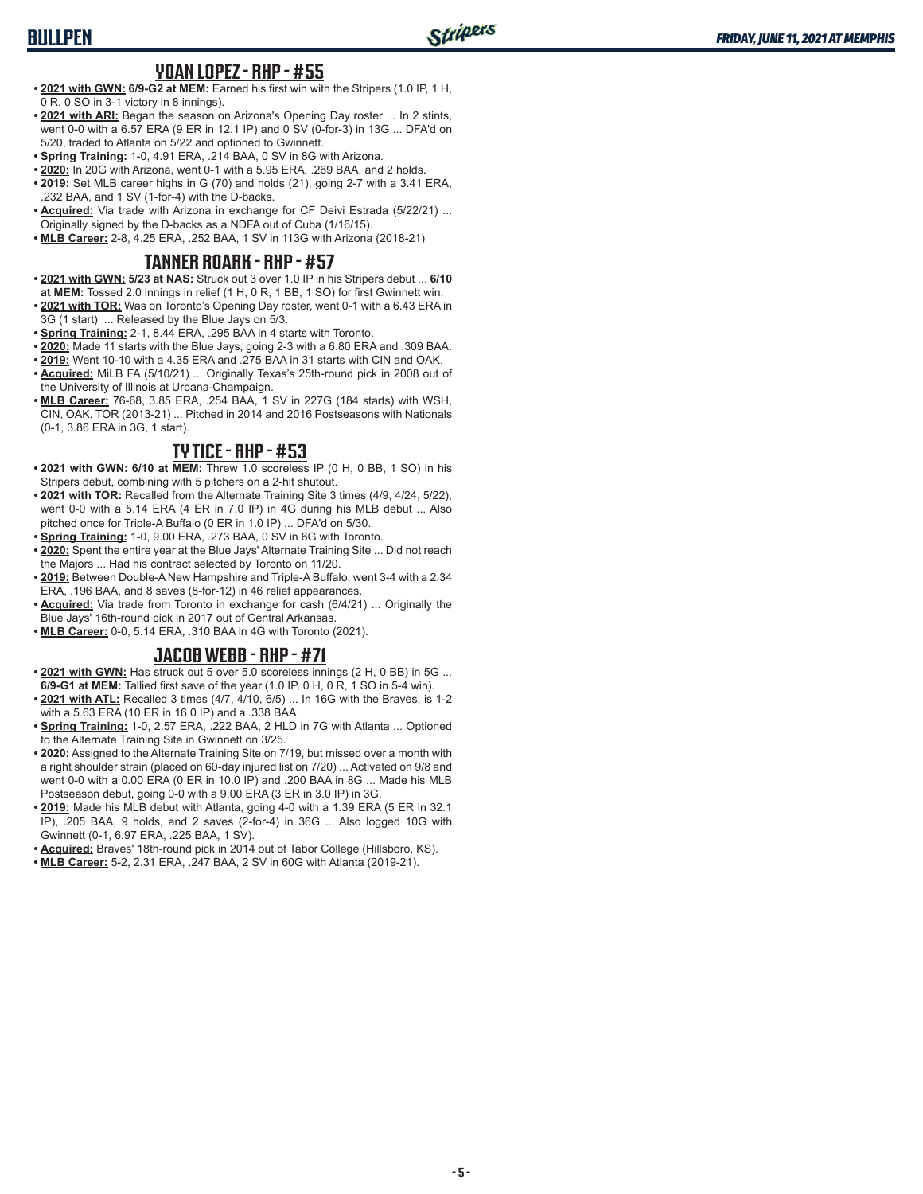# **BULLPEN**

## **YOAN LOPEZ - RHP - #55**

- **• 2021 with GWN: 6/9-G2 at MEM:** Earned his first win with the Stripers (1.0 IP, 1 H, 0 R, 0 SO in 3-1 victory in 8 innings).
- **• 2021 with ARI:** Began the season on Arizona's Opening Day roster ... In 2 stints, went 0-0 with a 6.57 ERA (9 ER in 12.1 IP) and 0 SV (0-for-3) in 13G ... DFA'd on 5/20, traded to Atlanta on 5/22 and optioned to Gwinnett.
- **• Spring Training:** 1-0, 4.91 ERA, .214 BAA, 0 SV in 8G with Arizona.
- **• 2020:** In 20G with Arizona, went 0-1 with a 5.95 ERA, .269 BAA, and 2 holds.
- **• 2019:** Set MLB career highs in G (70) and holds (21), going 2-7 with a 3.41 ERA, .232 BAA, and 1 SV (1-for-4) with the D-backs.
- **• Acquired:** Via trade with Arizona in exchange for CF Deivi Estrada (5/22/21) ... Originally signed by the D-backs as a NDFA out of Cuba (1/16/15).
- **• MLB Career:** 2-8, 4.25 ERA, .252 BAA, 1 SV in 113G with Arizona (2018-21)

## **TANNER ROARK - RHP - #57**

- **• 2021 with GWN: 5/23 at NAS:** Struck out 3 over 1.0 IP in his Stripers debut ... **6/10**
- **at MEM:** Tossed 2.0 innings in relief (1 H, 0 R, 1 BB, 1 SO) for first Gwinnett win. **• 2021 with TOR:** Was on Toronto's Opening Day roster, went 0-1 with a 6.43 ERA in
- 3G (1 start) ... Released by the Blue Jays on 5/3.
- **• Spring Training:** 2-1, 8.44 ERA, .295 BAA in 4 starts with Toronto.
- **• 2020:** Made 11 starts with the Blue Jays, going 2-3 with a 6.80 ERA and .309 BAA. **• 2019:** Went 10-10 with a 4.35 ERA and .275 BAA in 31 starts with CIN and OAK.
- **• Acquired:** MiLB FA (5/10/21) ... Originally Texas's 25th-round pick in 2008 out of the University of Illinois at Urbana-Champaign.
- **• MLB Career:** 76-68, 3.85 ERA, .254 BAA, 1 SV in 227G (184 starts) with WSH, CIN, OAK, TOR (2013-21) ... Pitched in 2014 and 2016 Postseasons with Nationals (0-1, 3.86 ERA in 3G, 1 start).

#### **TY TICE - RHP - #53**

- **• 2021 with GWN: 6/10 at MEM:** Threw 1.0 scoreless IP (0 H, 0 BB, 1 SO) in his Stripers debut, combining with 5 pitchers on a 2-hit shutout.
- **• 2021 with TOR:** Recalled from the Alternate Training Site 3 times (4/9, 4/24, 5/22), went 0-0 with a 5.14 ERA (4 ER in 7.0 IP) in 4G during his MLB debut ... Also pitched once for Triple-A Buffalo (0 ER in 1.0 IP) ... DFA'd on 5/30.
- **• Spring Training:** 1-0, 9.00 ERA, .273 BAA, 0 SV in 6G with Toronto.
- **• 2020:** Spent the entire year at the Blue Jays' Alternate Training Site ... Did not reach the Majors ... Had his contract selected by Toronto on 11/20.
- **• 2019:** Between Double-A New Hampshire and Triple-A Buffalo, went 3-4 with a 2.34 ERA, .196 BAA, and 8 saves (8-for-12) in 46 relief appearances.
- **• Acquired:** Via trade from Toronto in exchange for cash (6/4/21) ... Originally the Blue Jays' 16th-round pick in 2017 out of Central Arkansas.
- **• MLB Career:** 0-0, 5.14 ERA, .310 BAA in 4G with Toronto (2021).

## **JACOB WEBB - RHP - #71**

- **• 2021 with GWN:** Has struck out 5 over 5.0 scoreless innings (2 H, 0 BB) in 5G ... **6/9-G1 at MEM:** Tallied first save of the year (1.0 IP, 0 H, 0 R, 1 SO in 5-4 win).
- **• 2021 with ATL:** Recalled 3 times (4/7, 4/10, 6/5) ... In 16G with the Braves, is 1-2 with a 5.63 ERA (10 ER in 16.0 IP) and a .338 BAA.
- **• Spring Training:** 1-0, 2.57 ERA, .222 BAA, 2 HLD in 7G with Atlanta ... Optioned to the Alternate Training Site in Gwinnett on 3/25.
- **• 2020:** Assigned to the Alternate Training Site on 7/19, but missed over a month with a right shoulder strain (placed on 60-day injured list on 7/20) ... Activated on 9/8 and went 0-0 with a 0.00 ERA (0 ER in 10.0 IP) and .200 BAA in 8G ... Made his MLB Postseason debut, going 0-0 with a 9.00 ERA (3 ER in 3.0 IP) in 3G.
- **• 2019:** Made his MLB debut with Atlanta, going 4-0 with a 1.39 ERA (5 ER in 32.1 IP), .205 BAA, 9 holds, and 2 saves (2-for-4) in 36G ... Also logged 10G with Gwinnett (0-1, 6.97 ERA, .225 BAA, 1 SV).
- **• Acquired:** Braves' 18th-round pick in 2014 out of Tabor College (Hillsboro, KS).
- **• MLB Career:** 5-2, 2.31 ERA, .247 BAA, 2 SV in 60G with Atlanta (2019-21).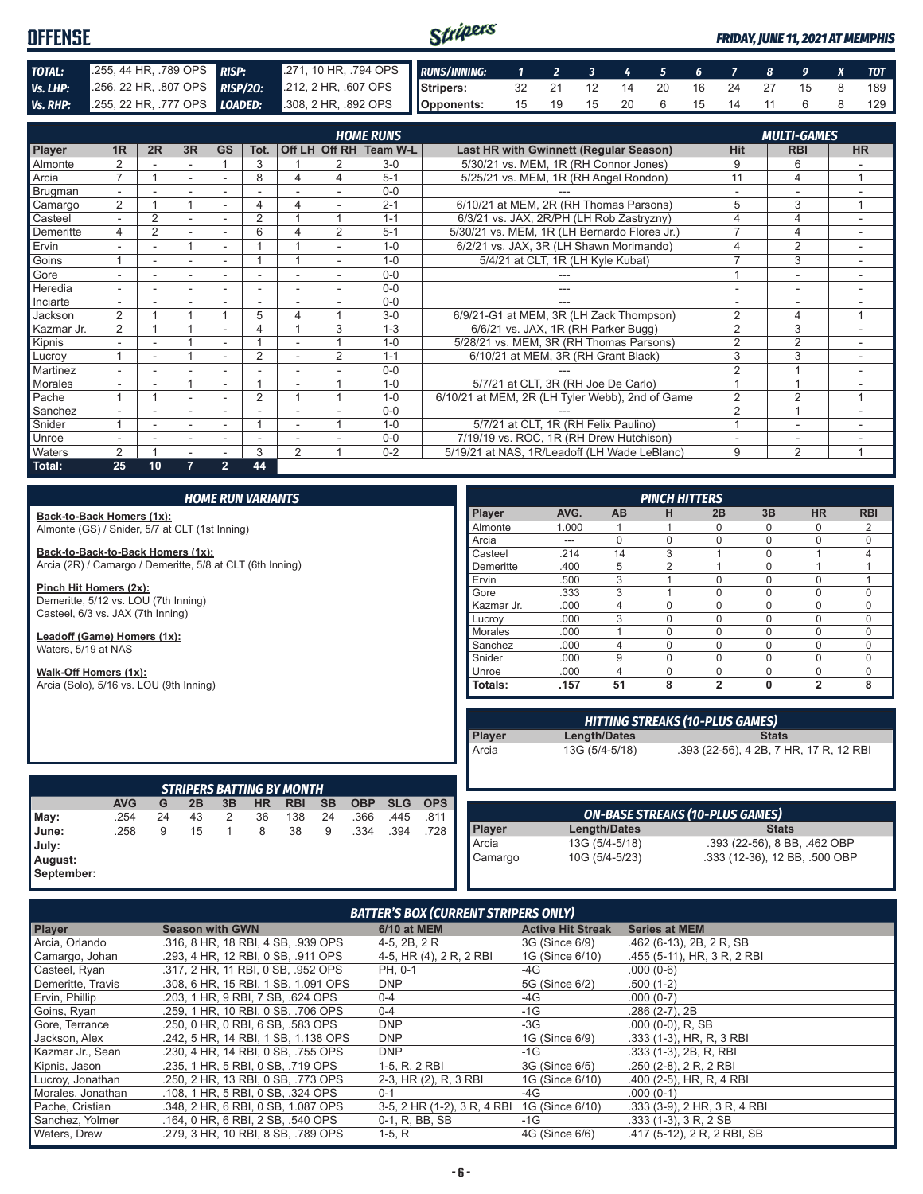#### Stripers **OFFENSE** *FRIDAY, JUNE 11, 2021 AT MEMPHIS TOTAL:* .255, 44 HR, .789 OPS *RISP:* .271, 10 HR, .794 OPS *RUNS/INNING: 1 2 3 4 5 6 7 8 9 X TOT* **Vs. LHP:** .256, 22 HR, .807 OPS **RISP/20:** .212, 2 HR, .607 OPS **Vs. RHP:** .255, 22 HR, .777 OPS **LOADED:** .308, 2 HR, .892 OPS **Stripers:** 32 21 12 14 20 16 24 27 15 8 189 *Vs. RHP:* .255, 22 HR, .777 OPS *LOADED:* **Opponents:** 15 19 15 20 6 15 14 11 6 8 129

|                | <b>MULTI-GAMES</b><br><b>HOME RUNS</b> |                |                          |                          |                |                |               |              |                                                 |                |                |           |
|----------------|----------------------------------------|----------------|--------------------------|--------------------------|----------------|----------------|---------------|--------------|-------------------------------------------------|----------------|----------------|-----------|
| Player         | 1R                                     | 2R             | 3R                       | <b>GS</b>                | Tot.           |                | Off LH Off RH | Team W-L     | Last HR with Gwinnett (Regular Season)          | <b>Hit</b>     | <b>RBI</b>     | <b>HR</b> |
| Almonte        | 2                                      |                |                          |                          | 3              |                |               | $3-0$        | 5/30/21 vs. MEM, 1R (RH Connor Jones)           | 9              | 6              |           |
| Arcia          | 7                                      |                | ٠                        | ۰                        | 8              | 4              | 4             | $5 - 1$      | 5/25/21 vs. MEM, 1R (RH Angel Rondon)           | 11             | 4              | 1         |
| Brugman        | ۰.                                     |                |                          |                          |                |                |               | $0 - 0$      |                                                 |                |                |           |
| Camargo        | $\overline{2}$                         |                |                          |                          | 4              | 4              | ٠             | $2 - 1$      | 6/10/21 at MEM, 2R (RH Thomas Parsons)          | 5              | 3              | 1         |
| Casteel        | $\overline{\phantom{0}}$               | $\overline{2}$ |                          |                          | $\overline{2}$ |                |               | $1 - 1$      | 6/3/21 vs. JAX, 2R/PH (LH Rob Zastryzny)        |                | 4              |           |
| Demeritte      | 4                                      | 2              |                          | ۰                        | 6              | 4              | 2             | $5 - 1$      | 5/30/21 vs. MEM, 1R (LH Bernardo Flores Jr.)    | ⇁              | 4              |           |
| Ervin          |                                        |                | 1                        |                          |                |                |               | $1 - \Omega$ | 6/2/21 vs. JAX, 3R (LH Shawn Morimando)         | 4              | $\overline{2}$ |           |
| Goins          |                                        | ۰              | $\overline{\phantom{0}}$ | ٠                        |                |                | ٠             | $1 - 0$      | 5/4/21 at CLT, 1R (LH Kyle Kubat)               |                | 3              |           |
| Gore           |                                        |                |                          |                          |                |                |               | $0 - 0$      |                                                 |                |                |           |
| Heredia        |                                        |                |                          |                          |                |                |               | $0 - 0$      |                                                 |                |                |           |
| Inciarte       | ÷.                                     |                | $\overline{\phantom{a}}$ | $\overline{\phantom{a}}$ | ٠              |                |               | $0 - 0$      |                                                 |                | ۰              |           |
| Jackson        | $\overline{2}$                         |                |                          |                          | 5              | 4              |               | $3-0$        | 6/9/21-G1 at MEM, 3R (LH Zack Thompson)         | $\overline{2}$ | 4              | и         |
| Kazmar Jr.     | $\overline{2}$                         |                |                          |                          | 4              |                | 3             | $1 - 3$      | 6/6/21 vs. JAX, 1R (RH Parker Bugg)             | $\overline{2}$ | 3              |           |
| Kipnis         | ÷                                      |                |                          |                          |                |                |               | $1 - 0$      | 5/28/21 vs. MEM, 3R (RH Thomas Parsons)         | $\overline{2}$ | $\overline{2}$ | $\sim$    |
| Lucrov         |                                        | Ξ.             |                          | $\overline{\phantom{a}}$ | $\overline{2}$ |                | 2             | $1 - 1$      | 6/10/21 at MEM, 3R (RH Grant Black)             | 3              | 3              | ٠         |
| Martinez       |                                        |                |                          |                          |                |                |               | $0 - 0$      |                                                 | $\overline{2}$ |                |           |
| <b>Morales</b> |                                        |                |                          |                          |                |                |               | $1 - 0$      | 5/7/21 at CLT, 3R (RH Joe De Carlo)             |                |                |           |
| Pache          |                                        |                |                          |                          | $\overline{2}$ |                |               | $1 - 0$      | 6/10/21 at MEM, 2R (LH Tyler Webb), 2nd of Game | 2              | 2              | 4         |
| Sanchez        |                                        |                | $\overline{\phantom{a}}$ |                          |                |                |               | $0 - 0$      |                                                 | $\overline{2}$ |                |           |
| Snider         |                                        |                | $\overline{\phantom{0}}$ |                          |                |                |               | $1 - 0$      | 5/7/21 at CLT, 1R (RH Felix Paulino)            |                | ۰              |           |
| Unroe          |                                        |                |                          |                          |                |                |               | $0 - 0$      | 7/19/19 vs. ROC, 1R (RH Drew Hutchison)         |                |                | ۰         |
| Waters         | $\overline{2}$                         |                | $\overline{\phantom{a}}$ | $\overline{\phantom{a}}$ | 3              | $\overline{2}$ |               | $0 - 2$      | 5/19/21 at NAS, 1R/Leadoff (LH Wade LeBlanc)    | 9              | 2              | -1        |
| Total:         | 25                                     | 10             | 7.                       | $\overline{2}$           | 44             |                |               |              |                                                 |                |                |           |

|                                                                | <b>HOME RUN VARIANTS</b> |    |    |              |           |                                  |           |            |            |            |                |       |                | <b>PINCH HITTERS</b>                   |                |              |                                        |             |
|----------------------------------------------------------------|--------------------------|----|----|--------------|-----------|----------------------------------|-----------|------------|------------|------------|----------------|-------|----------------|----------------------------------------|----------------|--------------|----------------------------------------|-------------|
| Back-to-Back Homers (1x):                                      |                          |    |    |              |           |                                  |           |            |            |            | Player         | AVG.  | <b>AB</b>      | н                                      | 2B             | 3B           | <b>HR</b>                              | <b>RBI</b>  |
| Almonte (GS) / Snider, 5/7 at CLT (1st Inning)                 |                          |    |    |              |           |                                  |           |            |            |            | Almonte        | 1.000 |                |                                        | 0              |              | 0                                      | 2           |
|                                                                |                          |    |    |              |           |                                  |           |            |            |            | Arcia          | $---$ | $\Omega$       | $\Omega$                               | $\Omega$       | $\Omega$     | $\Omega$                               | $\mathbf 0$ |
| Back-to-Back-to-Back Homers (1x):                              |                          |    |    |              |           |                                  |           |            |            |            | Casteel        | .214  | 14             | 3                                      |                | $\Omega$     |                                        | 4           |
| Arcia (2R) / Camargo / Demeritte, 5/8 at CLT (6th Inning)      |                          |    |    |              |           |                                  |           |            |            |            | Demeritte      | .400  | 5              | $\overline{2}$                         |                | $\Omega$     |                                        |             |
|                                                                |                          |    |    |              |           |                                  |           |            |            |            | Ervin          | .500  | 3              |                                        | $\Omega$       | $\Omega$     | $\Omega$                               | 1           |
| Pinch Hit Homers (2x):<br>Demeritte, 5/12 vs. LOU (7th Inning) |                          |    |    |              |           |                                  |           |            |            |            | Gore           | .333  | 3              |                                        | $\Omega$       | $\Omega$     | 0                                      | $\mathbf 0$ |
| Casteel, 6/3 vs. JAX (7th Inning)                              |                          |    |    |              |           |                                  |           |            |            | Kazmar Jr. | .000           | 4     | $\Omega$       | $\Omega$                               | $\Omega$       | $\Omega$     | $\mathbf 0$                            |             |
|                                                                |                          |    |    |              |           |                                  |           |            |            |            | Lucrov         | .000  | 3              | $\Omega$                               | $\Omega$       | $\Omega$     | $\Omega$                               | $\mathbf 0$ |
| Leadoff (Game) Homers (1x):                                    |                          |    |    |              |           |                                  |           |            |            |            | <b>Morales</b> | .000  |                | $\Omega$                               | $\Omega$       | $\Omega$     | $\mathbf 0$                            | $\mathbf 0$ |
| Waters, 5/19 at NAS                                            |                          |    |    |              |           |                                  |           |            |            |            | Sanchez        | .000  | 4              | $\Omega$                               | $\Omega$       | $\Omega$     | $\Omega$                               | $\mathbf 0$ |
|                                                                |                          |    |    |              |           |                                  |           |            |            |            | Snider         | .000  | 9              | $\Omega$                               | $\Omega$       | $\Omega$     | $\Omega$                               | $\mathbf 0$ |
| Walk-Off Homers (1x):                                          |                          |    |    |              |           |                                  |           |            |            |            | Unroe          | .000  | 4              | $\Omega$                               | 0              | $\Omega$     | $\mathbf 0$                            | $\mathbf 0$ |
| Arcia (Solo), 5/16 vs. LOU (9th Inning)                        |                          |    |    |              |           |                                  |           |            |            |            | Totals:        | .157  | 51             | 8                                      | $\overline{2}$ | $\mathbf{0}$ | $\overline{2}$                         | 8           |
|                                                                |                          |    |    |              |           |                                  |           |            |            |            |                |       |                |                                        |                |              |                                        |             |
|                                                                |                          |    |    |              |           |                                  |           |            |            |            |                |       |                | <b>HITTING STREAKS (10-PLUS GAMES)</b> |                |              |                                        |             |
|                                                                |                          |    |    |              |           |                                  |           |            |            |            | Player         |       | Length/Dates   |                                        |                | <b>Stats</b> |                                        |             |
|                                                                |                          |    |    |              |           |                                  |           |            |            |            | Arcia          |       | 13G (5/4-5/18) |                                        |                |              | .393 (22-56), 4 2B, 7 HR, 17 R, 12 RBI |             |
|                                                                |                          |    |    |              |           |                                  |           |            |            |            |                |       |                |                                        |                |              |                                        |             |
|                                                                |                          |    |    |              |           |                                  |           |            |            |            |                |       |                |                                        |                |              |                                        |             |
|                                                                |                          |    |    |              |           | <b>STRIPERS BATTING BY MONTH</b> |           |            |            |            |                |       |                |                                        |                |              |                                        |             |
|                                                                | <b>AVG</b>               | G  | 2B | 3B           | <b>HR</b> | <b>RBI</b>                       | <b>SB</b> | <b>OBP</b> | <b>SLG</b> | <b>OPS</b> |                |       |                |                                        |                |              |                                        |             |
| May:                                                           | .254                     | 24 | 43 | 2            | 36        | 138                              | 24        | .366       | .445       | .811       |                |       |                | <b>ON-BASE STREAKS (10-PLUS GAMES)</b> |                |              |                                        |             |
| June:                                                          | .258                     | 9  | 15 | $\mathbf{1}$ | 8         | 38                               | 9         | .334       | .394       | .728       | <b>Player</b>  |       | Length/Dates   |                                        |                | <b>Stats</b> |                                        |             |
| July:                                                          |                          |    |    |              |           |                                  |           |            |            |            | Arcia          |       | 13G (5/4-5/18) |                                        |                |              | .393 (22-56), 8 BB, .462 OBP           |             |
| August:                                                        |                          |    |    |              |           |                                  |           |            |            |            | Camargo        |       | 10G (5/4-5/23) |                                        |                |              | .333 (12-36), 12 BB, .500 OBP          |             |
| September:                                                     |                          |    |    |              |           |                                  |           |            |            |            |                |       |                |                                        |                |              |                                        |             |

| <b>BATTER'S BOX (CURRENT STRIPERS ONLY)</b> |                                     |                             |                          |                              |  |  |  |  |
|---------------------------------------------|-------------------------------------|-----------------------------|--------------------------|------------------------------|--|--|--|--|
| <b>Player</b>                               | <b>Season with GWN</b>              | <b>6/10 at MEM</b>          | <b>Active Hit Streak</b> | <b>Series at MEM</b>         |  |  |  |  |
| Arcia, Orlando                              | .316, 8 HR, 18 RBI, 4 SB, .939 OPS  | 4-5, 2B, 2R                 | 3G (Since 6/9)           | .462 (6-13), 2B, 2R, SB      |  |  |  |  |
| Camargo, Johan                              | .293. 4 HR. 12 RBI. 0 SB. .911 OPS  | 4-5, HR (4), 2 R, 2 RBI     | 1G (Since 6/10)          | .455 (5-11), HR, 3 R, 2 RBI  |  |  |  |  |
| Casteel, Ryan                               | .317, 2 HR, 11 RBI, 0 SB, .952 OPS  | PH, 0-1                     | -4G                      | $.000(0-6)$                  |  |  |  |  |
| Demeritte, Travis                           | .308, 6 HR, 15 RBI, 1 SB, 1,091 OPS | <b>DNP</b>                  | 5G (Since 6/2)           | $.500(1-2)$                  |  |  |  |  |
| Ervin, Phillip                              | .203, 1 HR, 9 RBI, 7 SB, .624 OPS   | $0 - 4$                     | -4G                      | $.000(0-7)$                  |  |  |  |  |
| Goins, Ryan                                 | .259. 1 HR. 10 RBI. 0 SB. .706 OPS  | $0 - 4$                     | $-1G$                    | $.286(2-7), 2B$              |  |  |  |  |
| Gore, Terrance                              | .250, 0 HR, 0 RBI, 6 SB, .583 OPS   | <b>DNP</b>                  | $-3G$                    | $.000(0-0)$ , R, SB          |  |  |  |  |
| Jackson, Alex                               | .242, 5 HR, 14 RBI, 1 SB, 1.138 OPS | <b>DNP</b>                  | 1G (Since 6/9)           | .333 (1-3), HR, R, 3 RBI     |  |  |  |  |
| Kazmar Jr., Sean                            | .230, 4 HR, 14 RBI, 0 SB, .755 OPS  | <b>DNP</b>                  | $-1G$                    | .333 (1-3), 2B, R, RBI       |  |  |  |  |
| Kipnis, Jason                               | .235, 1 HR, 5 RBI, 0 SB, .719 OPS   | 1-5, R, 2 RBI               | 3G (Since 6/5)           | $.250$ (2-8), 2 R, 2 RBI     |  |  |  |  |
| Lucroy, Jonathan                            | .250, 2 HR, 13 RBI, 0 SB, .773 OPS  | 2-3, HR (2), R, 3 RBI       | 1G (Since 6/10)          | .400 (2-5), HR, R, 4 RBI     |  |  |  |  |
| Morales, Jonathan                           | .108. 1 HR. 5 RBI. 0 SB. .324 OPS   | $0 - 1$                     | -4G                      | $.000(0-1)$                  |  |  |  |  |
| Pache, Cristian                             | .348, 2 HR, 6 RBI, 0 SB, 1.087 OPS  | 3-5, 2 HR (1-2), 3 R, 4 RBI | 1G (Since 6/10)          | .333 (3-9), 2 HR, 3 R, 4 RBI |  |  |  |  |
| Sanchez, Yolmer                             | .164, 0 HR, 6 RBI, 2 SB, .540 OPS   | 0-1, R, BB, SB              | $-1G$                    | $.333(1-3), 3R, 2SB$         |  |  |  |  |
| Waters, Drew                                | .279. 3 HR. 10 RBI. 8 SB. .789 OPS  | $1-5, R$                    | 4G (Since 6/6)           | .417 (5-12), 2 R, 2 RBI, SB  |  |  |  |  |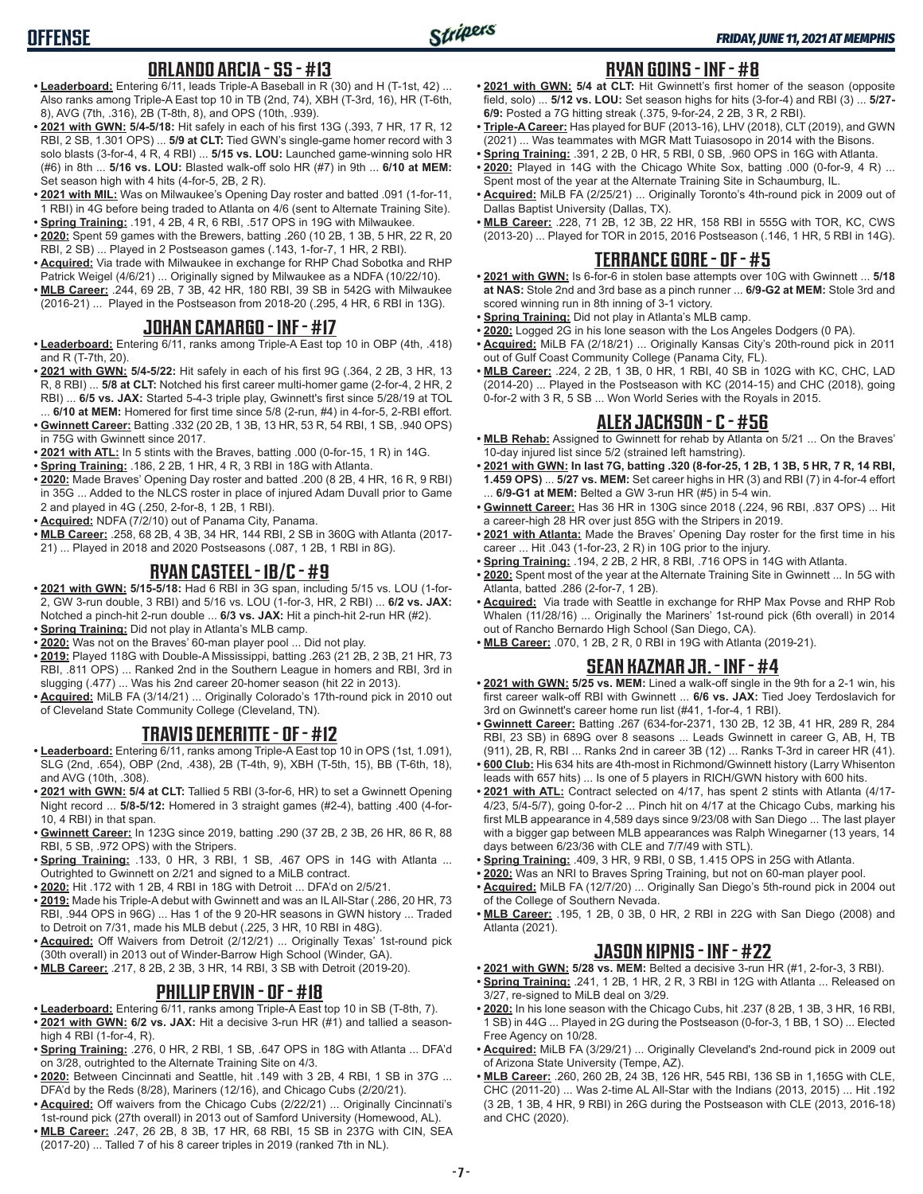## **ORLANDO ARCIA - SS - #13**

- **• Leaderboard:** Entering 6/11, leads Triple-A Baseball in R (30) and H (T-1st, 42) ... Also ranks among Triple-A East top 10 in TB (2nd, 74), XBH (T-3rd, 16), HR (T-6th, 8), AVG (7th, .316), 2B (T-8th, 8), and OPS (10th, .939).
- **• 2021 with GWN: 5/4-5/18:** Hit safely in each of his first 13G (.393, 7 HR, 17 R, 12 RBI, 2 SB, 1.301 OPS) ... **5/9 at CLT:** Tied GWN's single-game homer record with 3 solo blasts (3-for-4, 4 R, 4 RBI) ... **5/15 vs. LOU:** Launched game-winning solo HR (#6) in 8th ... **5/16 vs. LOU:** Blasted walk-off solo HR (#7) in 9th ... **6/10 at MEM:**  Set season high with 4 hits (4-for-5, 2B, 2 R).
- **• 2021 with MIL:** Was on Milwaukee's Opening Day roster and batted .091 (1-for-11, 1 RBI) in 4G before being traded to Atlanta on 4/6 (sent to Alternate Training Site). **• Spring Training:** .191, 4 2B, 4 R, 6 RBI, .517 OPS in 19G with Milwaukee.
- **• 2020:** Spent 59 games with the Brewers, batting .260 (10 2B, 1 3B, 5 HR, 22 R, 20 RBI, 2 SB) ... Played in 2 Postseason games (.143, 1-for-7, 1 HR, 2 RBI).
- **• Acquired:** Via trade with Milwaukee in exchange for RHP Chad Sobotka and RHP Patrick Weigel (4/6/21) ... Originally signed by Milwaukee as a NDFA (10/22/10).
- **• MLB Career:** .244, 69 2B, 7 3B, 42 HR, 180 RBI, 39 SB in 542G with Milwaukee (2016-21) ... Played in the Postseason from 2018-20 (.295, 4 HR, 6 RBI in 13G).

#### **JOHAN CAMARGO - INF - #17**

- **• Leaderboard:** Entering 6/11, ranks among Triple-A East top 10 in OBP (4th, .418) and R (T-7th, 20).
- **• 2021 with GWN: 5/4-5/22:** Hit safely in each of his first 9G (.364, 2 2B, 3 HR, 13 R, 8 RBI) ... **5/8 at CLT:** Notched his first career multi-homer game (2-for-4, 2 HR, 2 RBI) ... **6/5 vs. JAX:** Started 5-4-3 triple play, Gwinnett's first since 5/28/19 at TOL ... **6/10 at MEM:** Homered for first time since 5/8 (2-run, #4) in 4-for-5, 2-RBI effort.
- **• Gwinnett Career:** Batting .332 (20 2B, 1 3B, 13 HR, 53 R, 54 RBI, 1 SB, .940 OPS) in 75G with Gwinnett since 2017.
- **• 2021 with ATL:** In 5 stints with the Braves, batting .000 (0-for-15, 1 R) in 14G.
- **• Spring Training:** .186, 2 2B, 1 HR, 4 R, 3 RBI in 18G with Atlanta.
- **• 2020:** Made Braves' Opening Day roster and batted .200 (8 2B, 4 HR, 16 R, 9 RBI) in 35G ... Added to the NLCS roster in place of injured Adam Duvall prior to Game 2 and played in 4G (.250, 2-for-8, 1 2B, 1 RBI).
- **• Acquired:** NDFA (7/2/10) out of Panama City, Panama.
- **• MLB Career:** .258, 68 2B, 4 3B, 34 HR, 144 RBI, 2 SB in 360G with Atlanta (2017- 21) ... Played in 2018 and 2020 Postseasons (.087, 1 2B, 1 RBI in 8G).

## **RYAN CASTEEL - 1B/C - #9**

- **• 2021 with GWN: 5/15-5/18:** Had 6 RBI in 3G span, including 5/15 vs. LOU (1-for-2, GW 3-run double, 3 RBI) and 5/16 vs. LOU (1-for-3, HR, 2 RBI) ... **6/2 vs. JAX:** Notched a pinch-hit 2-run double ... **6/3 vs. JAX:** Hit a pinch-hit 2-run HR (#2).
- **• Spring Training:** Did not play in Atlanta's MLB camp.
- **• 2020:** Was not on the Braves' 60-man player pool ... Did not play.
- **• 2019:** Played 118G with Double-A Mississippi, batting .263 (21 2B, 2 3B, 21 HR, 73 RBI, .811 OPS) ... Ranked 2nd in the Southern League in homers and RBI, 3rd in slugging (.477) ... Was his 2nd career 20-homer season (hit 22 in 2013).
- **• Acquired:** MiLB FA (3/14/21) ... Originally Colorado's 17th-round pick in 2010 out of Cleveland State Community College (Cleveland, TN).

# **TRAVIS DEMERITTE - OF - #12**

- **• Leaderboard:** Entering 6/11, ranks among Triple-A East top 10 in OPS (1st, 1.091), SLG (2nd, .654), OBP (2nd, .438), 2B (T-4th, 9), XBH (T-5th, 15), BB (T-6th, 18), and AVG (10th, .308).
- **• 2021 with GWN: 5/4 at CLT:** Tallied 5 RBI (3-for-6, HR) to set a Gwinnett Opening Night record ... **5/8-5/12:** Homered in 3 straight games (#2-4), batting .400 (4-for-10, 4 RBI) in that span.
- **• Gwinnett Career:** In 123G since 2019, batting .290 (37 2B, 2 3B, 26 HR, 86 R, 88 RBI, 5 SB, .972 OPS) with the Stripers.
- **• Spring Training:** .133, 0 HR, 3 RBI, 1 SB, .467 OPS in 14G with Atlanta ... Outrighted to Gwinnett on 2/21 and signed to a MiLB contract.
- **• 2020:** Hit .172 with 1 2B, 4 RBI in 18G with Detroit ... DFA'd on 2/5/21.
- **• 2019:** Made his Triple-A debut with Gwinnett and was an IL All-Star (.286, 20 HR, 73 RBI, .944 OPS in 96G) ... Has 1 of the 9 20-HR seasons in GWN history ... Traded to Detroit on 7/31, made his MLB debut (.225, 3 HR, 10 RBI in 48G).
- **• Acquired:** Off Waivers from Detroit (2/12/21) ... Originally Texas' 1st-round pick (30th overall) in 2013 out of Winder-Barrow High School (Winder, GA).
- **• MLB Career:** .217, 8 2B, 2 3B, 3 HR, 14 RBI, 3 SB with Detroit (2019-20).

#### **PHILLIP ERVIN - OF - #18**

- **• Leaderboard:** Entering 6/11, ranks among Triple-A East top 10 in SB (T-8th, 7).
- **• 2021 with GWN: 6/2 vs. JAX:** Hit a decisive 3-run HR (#1) and tallied a seasonhigh 4 RBI (1-for-4, R).
- **• Spring Training:** .276, 0 HR, 2 RBI, 1 SB, .647 OPS in 18G with Atlanta ... DFA'd on 3/28, outrighted to the Alternate Training Site on 4/3.
- **• 2020:** Between Cincinnati and Seattle, hit .149 with 3 2B, 4 RBI, 1 SB in 37G ... DFA'd by the Reds (8/28), Mariners (12/16), and Chicago Cubs (2/20/21).
- **• Acquired:** Off waivers from the Chicago Cubs (2/22/21) ... Originally Cincinnati's 1st-round pick (27th overall) in 2013 out of Samford University (Homewood, AL).
- **• MLB Career:** .247, 26 2B, 8 3B, 17 HR, 68 RBI, 15 SB in 237G with CIN, SEA (2017-20) ... Talled 7 of his 8 career triples in 2019 (ranked 7th in NL).

## **RYAN GOINS - INF - #8**

- **• 2021 with GWN: 5/4 at CLT:** Hit Gwinnett's first homer of the season (opposite field, solo) ... **5/12 vs. LOU:** Set season highs for hits (3-for-4) and RBI (3) ... **5/27- 6/9:** Posted a 7G hitting streak (.375, 9-for-24, 2 2B, 3 R, 2 RBI).
- **• Triple-A Career:** Has played for BUF (2013-16), LHV (2018), CLT (2019), and GWN (2021) ... Was teammates with MGR Matt Tuiasosopo in 2014 with the Bisons.
- **• Spring Training:** .391, 2 2B, 0 HR, 5 RBI, 0 SB, .960 OPS in 16G with Atlanta.
- **• 2020:** Played in 14G with the Chicago White Sox, batting .000 (0-for-9, 4 R) ... Spent most of the year at the Alternate Training Site in Schaumburg, IL.
- **• Acquired:** MiLB FA (2/25/21) ... Originally Toronto's 4th-round pick in 2009 out of Dallas Baptist University (Dallas, TX).
- **• MLB Career:** .228, 71 2B, 12 3B, 22 HR, 158 RBI in 555G with TOR, KC, CWS (2013-20) ... Played for TOR in 2015, 2016 Postseason (.146, 1 HR, 5 RBI in 14G).

## **TERRANCE GORE - OF - #5**

- **• 2021 with GWN:** Is 6-for-6 in stolen base attempts over 10G with Gwinnett ... **5/18 at NAS:** Stole 2nd and 3rd base as a pinch runner ... **6/9-G2 at MEM:** Stole 3rd and scored winning run in 8th inning of 3-1 victory.
- **• Spring Training:** Did not play in Atlanta's MLB camp.
- **• 2020:** Logged 2G in his lone season with the Los Angeles Dodgers (0 PA).
- **• Acquired:** MiLB FA (2/18/21) ... Originally Kansas City's 20th-round pick in 2011 out of Gulf Coast Community College (Panama City, FL).
- **• MLB Career:** .224, 2 2B, 1 3B, 0 HR, 1 RBI, 40 SB in 102G with KC, CHC, LAD (2014-20) ... Played in the Postseason with KC (2014-15) and CHC (2018), going 0-for-2 with 3 R, 5 SB ... Won World Series with the Royals in 2015.

## **ALEX JACKSON - C - #56**

- **• MLB Rehab:** Assigned to Gwinnett for rehab by Atlanta on 5/21 ... On the Braves' 10-day injured list since 5/2 (strained left hamstring).
- **• 2021 with GWN: In last 7G, batting .320 (8-for-25, 1 2B, 1 3B, 5 HR, 7 R, 14 RBI, 1.459 OPS)** ... **5/27 vs. MEM:** Set career highs in HR (3) and RBI (7) in 4-for-4 effort
- ... **6/9-G1 at MEM:** Belted a GW 3-run HR (#5) in 5-4 win. **• Gwinnett Career:** Has 36 HR in 130G since 2018 (.224, 96 RBI, .837 OPS) ... Hit a career-high 28 HR over just 85G with the Stripers in 2019.
- **• 2021 with Atlanta:** Made the Braves' Opening Day roster for the first time in his career ... Hit .043 (1-for-23, 2 R) in 10G prior to the injury.
- **• Spring Training:** .194, 2 2B, 2 HR, 8 RBI, .716 OPS in 14G with Atlanta.
- **• 2020:** Spent most of the year at the Alternate Training Site in Gwinnett ... In 5G with Atlanta, batted .286 (2-for-7, 1 2B).
- **• Acquired:** Via trade with Seattle in exchange for RHP Max Povse and RHP Rob Whalen (11/28/16) ... Originally the Mariners' 1st-round pick (6th overall) in 2014 out of Rancho Bernardo High School (San Diego, CA).
- **• MLB Career:** .070, 1 2B, 2 R, 0 RBI in 19G with Atlanta (2019-21).

## **SEAN KAZMAR JR. - INF - #4**

- **• 2021 with GWN: 5/25 vs. MEM:** Lined a walk-off single in the 9th for a 2-1 win, his first career walk-off RBI with Gwinnett ... **6/6 vs. JAX:** Tied Joey Terdoslavich for 3rd on Gwinnett's career home run list (#41, 1-for-4, 1 RBI).
- **• Gwinnett Career:** Batting .267 (634-for-2371, 130 2B, 12 3B, 41 HR, 289 R, 284 RBI, 23 SB) in 689G over 8 seasons ... Leads Gwinnett in career G, AB, H, TB (911), 2B, R, RBI ... Ranks 2nd in career 3B (12) ... Ranks T-3rd in career HR (41).
- **• 600 Club:** His 634 hits are 4th-most in Richmond/Gwinnett history (Larry Whisenton leads with 657 hits) ... Is one of 5 players in RICH/GWN history with 600 hits.
- **• 2021 with ATL:** Contract selected on 4/17, has spent 2 stints with Atlanta (4/17- 4/23, 5/4-5/7), going 0-for-2 ... Pinch hit on 4/17 at the Chicago Cubs, marking his first MLB appearance in 4,589 days since 9/23/08 with San Diego ... The last player with a bigger gap between MLB appearances was Ralph Winegarner (13 years, 14 days between 6/23/36 with CLE and 7/7/49 with STL).
- **• Spring Training:** .409, 3 HR, 9 RBI, 0 SB, 1.415 OPS in 25G with Atlanta.
- **• 2020:** Was an NRI to Braves Spring Training, but not on 60-man player pool.
- **• Acquired:** MiLB FA (12/7/20) ... Originally San Diego's 5th-round pick in 2004 out of the College of Southern Nevada.
- **• MLB Career:** .195, 1 2B, 0 3B, 0 HR, 2 RBI in 22G with San Diego (2008) and Atlanta (2021).

# **JASON KIPNIS - INF - #22**

- **• 2021 with GWN: 5/28 vs. MEM:** Belted a decisive 3-run HR (#1, 2-for-3, 3 RBI).
- **• Spring Training:** .241, 1 2B, 1 HR, 2 R, 3 RBI in 12G with Atlanta ... Released on 3/27, re-signed to MiLB deal on 3/29.
- **• 2020:** In his lone season with the Chicago Cubs, hit .237 (8 2B, 1 3B, 3 HR, 16 RBI, 1 SB) in 44G ... Played in 2G during the Postseason (0-for-3, 1 BB, 1 SO) ... Elected Free Agency on 10/28.
- **• Acquired:** MiLB FA (3/29/21) ... Originally Cleveland's 2nd-round pick in 2009 out of Arizona State University (Tempe, AZ).
- **• MLB Career:** .260, 260 2B, 24 3B, 126 HR, 545 RBI, 136 SB in 1,165G with CLE, CHC (2011-20) ... Was 2-time AL All-Star with the Indians (2013, 2015) ... Hit .192 (3 2B, 1 3B, 4 HR, 9 RBI) in 26G during the Postseason with CLE (2013, 2016-18) and CHC (2020).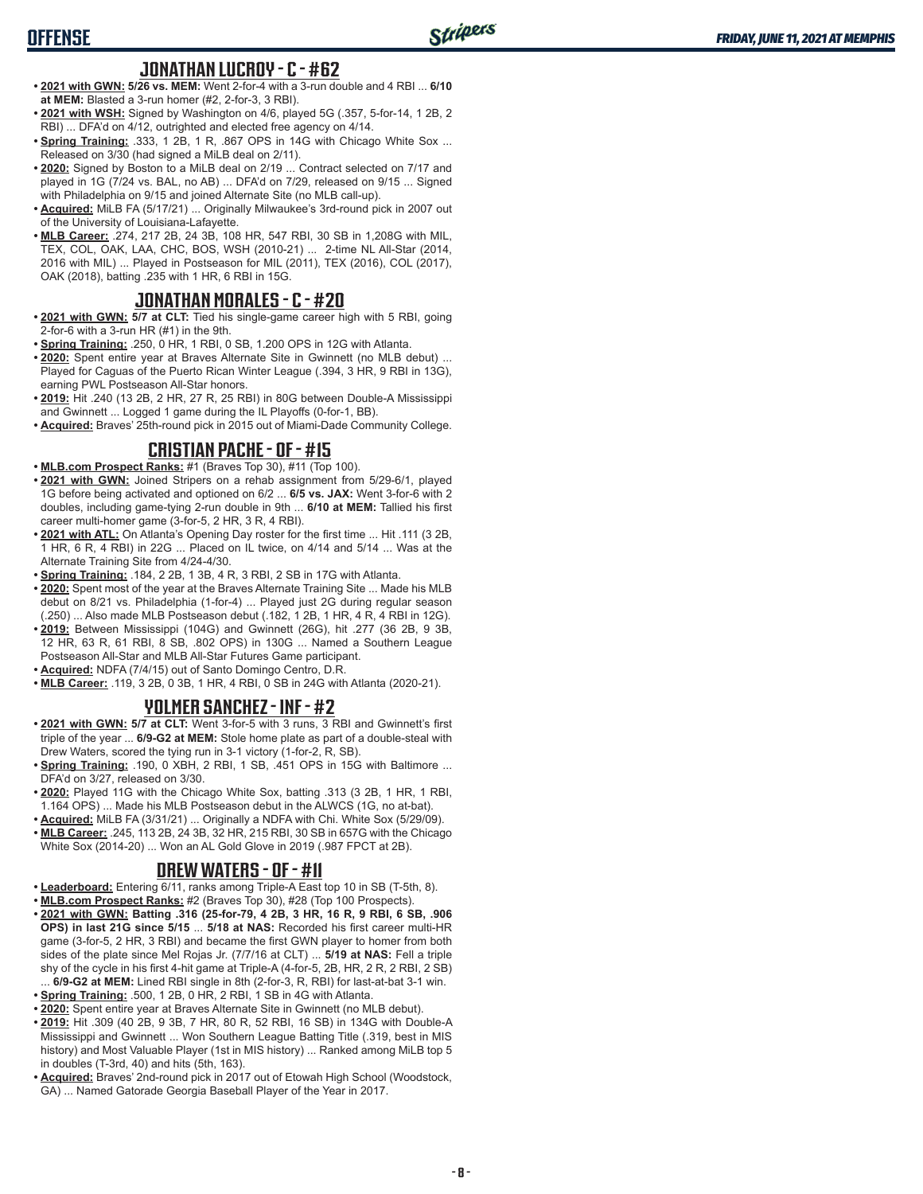# **OFFENSE**

## **JONATHAN LUCROY - C - #62**

- **• 2021 with GWN: 5/26 vs. MEM:** Went 2-for-4 with a 3-run double and 4 RBI ... **6/10 at MEM:** Blasted a 3-run homer (#2, 2-for-3, 3 RBI).
- **• 2021 with WSH:** Signed by Washington on 4/6, played 5G (.357, 5-for-14, 1 2B, 2 RBI) ... DFA'd on 4/12, outrighted and elected free agency on 4/14.
- **• Spring Training:** .333, 1 2B, 1 R, .867 OPS in 14G with Chicago White Sox ... Released on 3/30 (had signed a MiLB deal on 2/11).
- **• 2020:** Signed by Boston to a MiLB deal on 2/19 ... Contract selected on 7/17 and played in 1G (7/24 vs. BAL, no AB) ... DFA'd on 7/29, released on 9/15 ... Signed with Philadelphia on 9/15 and joined Alternate Site (no MLB call-up).
- **• Acquired:** MiLB FA (5/17/21) ... Originally Milwaukee's 3rd-round pick in 2007 out of the University of Louisiana-Lafayette.
- **• MLB Career:** .274, 217 2B, 24 3B, 108 HR, 547 RBI, 30 SB in 1,208G with MIL, TEX, COL, OAK, LAA, CHC, BOS, WSH (2010-21) ... 2-time NL All-Star (2014, 2016 with MIL) ... Played in Postseason for MIL (2011), TEX (2016), COL (2017), OAK (2018), batting .235 with 1 HR, 6 RBI in 15G.

## **JONATHAN MORALES - C - #20**

- **• 2021 with GWN: 5/7 at CLT:** Tied his single-game career high with 5 RBI, going 2-for-6 with a 3-run HR (#1) in the 9th.
- **• Spring Training:** .250, 0 HR, 1 RBI, 0 SB, 1.200 OPS in 12G with Atlanta.
- **• 2020:** Spent entire year at Braves Alternate Site in Gwinnett (no MLB debut) ... Played for Caguas of the Puerto Rican Winter League (.394, 3 HR, 9 RBI in 13G), earning PWL Postseason All-Star honors.
- **• 2019:** Hit .240 (13 2B, 2 HR, 27 R, 25 RBI) in 80G between Double-A Mississippi and Gwinnett ... Logged 1 game during the IL Playoffs (0-for-1, BB)
- **• Acquired:** Braves' 25th-round pick in 2015 out of Miami-Dade Community College.

# **CRISTIAN PACHE - OF - #15**

**• MLB.com Prospect Ranks:** #1 (Braves Top 30), #11 (Top 100).

- **• 2021 with GWN:** Joined Stripers on a rehab assignment from 5/29-6/1, played 1G before being activated and optioned on 6/2 ... **6/5 vs. JAX:** Went 3-for-6 with 2 doubles, including game-tying 2-run double in 9th ... **6/10 at MEM:** Tallied his first career multi-homer game (3-for-5, 2 HR, 3 R, 4 RBI).
- **• 2021 with ATL:** On Atlanta's Opening Day roster for the first time ... Hit .111 (3 2B, 1 HR, 6 R, 4 RBI) in 22G ... Placed on IL twice, on 4/14 and 5/14 ... Was at the Alternate Training Site from 4/24-4/30.
- **• Spring Training:** .184, 2 2B, 1 3B, 4 R, 3 RBI, 2 SB in 17G with Atlanta.
- **• 2020:** Spent most of the year at the Braves Alternate Training Site ... Made his MLB debut on 8/21 vs. Philadelphia (1-for-4) ... Played just 2G during regular season (.250) ... Also made MLB Postseason debut (.182, 1 2B, 1 HR, 4 R, 4 RBI in 12G).
- **• 2019:** Between Mississippi (104G) and Gwinnett (26G), hit .277 (36 2B, 9 3B, 12 HR, 63 R, 61 RBI, 8 SB, .802 OPS) in 130G ... Named a Southern League Postseason All-Star and MLB All-Star Futures Game participant.
- **• Acquired:** NDFA (7/4/15) out of Santo Domingo Centro, D.R.
- **• MLB Career:** .119, 3 2B, 0 3B, 1 HR, 4 RBI, 0 SB in 24G with Atlanta (2020-21).

## **YOLMER SANCHEZ - INF - #2**

- **• 2021 with GWN: 5/7 at CLT:** Went 3-for-5 with 3 runs, 3 RBI and Gwinnett's first triple of the year ... **6/9-G2 at MEM:** Stole home plate as part of a double-steal with Drew Waters, scored the tying run in 3-1 victory (1-for-2, R, SB).
- **• Spring Training:** .190, 0 XBH, 2 RBI, 1 SB, .451 OPS in 15G with Baltimore ... DFA'd on 3/27, released on 3/30.
- **• 2020:** Played 11G with the Chicago White Sox, batting .313 (3 2B, 1 HR, 1 RBI, 1.164 OPS) ... Made his MLB Postseason debut in the ALWCS (1G, no at-bat).
- **• Acquired:** MiLB FA (3/31/21) ... Originally a NDFA with Chi. White Sox (5/29/09).
- **• MLB Career:** .245, 113 2B, 24 3B, 32 HR, 215 RBI, 30 SB in 657G with the Chicago White Sox (2014-20) ... Won an AL Gold Glove in 2019 (.987 FPCT at 2B).

## **DREW WATERS - OF - #11**

- **• Leaderboard:** Entering 6/11, ranks among Triple-A East top 10 in SB (T-5th, 8).
- **• MLB.com Prospect Ranks:** #2 (Braves Top 30), #28 (Top 100 Prospects).
- **• 2021 with GWN: Batting .316 (25-for-79, 4 2B, 3 HR, 16 R, 9 RBI, 6 SB, .906 OPS) in last 21G since 5/15** ... **5/18 at NAS:** Recorded his first career multi-HR game (3-for-5, 2 HR, 3 RBI) and became the first GWN player to homer from both sides of the plate since Mel Rojas Jr. (7/7/16 at CLT) ... **5/19 at NAS:** Fell a triple shy of the cycle in his first 4-hit game at Triple-A (4-for-5, 2B, HR, 2 R, 2 RBI, 2 SB) ... **6/9-G2 at MEM:** Lined RBI single in 8th (2-for-3, R, RBI) for last-at-bat 3-1 win.
- **• Spring Training:** .500, 1 2B, 0 HR, 2 RBI, 1 SB in 4G with Atlanta.
- **• 2020:** Spent entire year at Braves Alternate Site in Gwinnett (no MLB debut).
- **• 2019:** Hit .309 (40 2B, 9 3B, 7 HR, 80 R, 52 RBI, 16 SB) in 134G with Double-A Mississippi and Gwinnett ... Won Southern League Batting Title (.319, best in MIS history) and Most Valuable Player (1st in MIS history) ... Ranked among MiLB top 5 in doubles (T-3rd, 40) and hits (5th, 163).
- **• Acquired:** Braves' 2nd-round pick in 2017 out of Etowah High School (Woodstock, GA) ... Named Gatorade Georgia Baseball Player of the Year in 2017.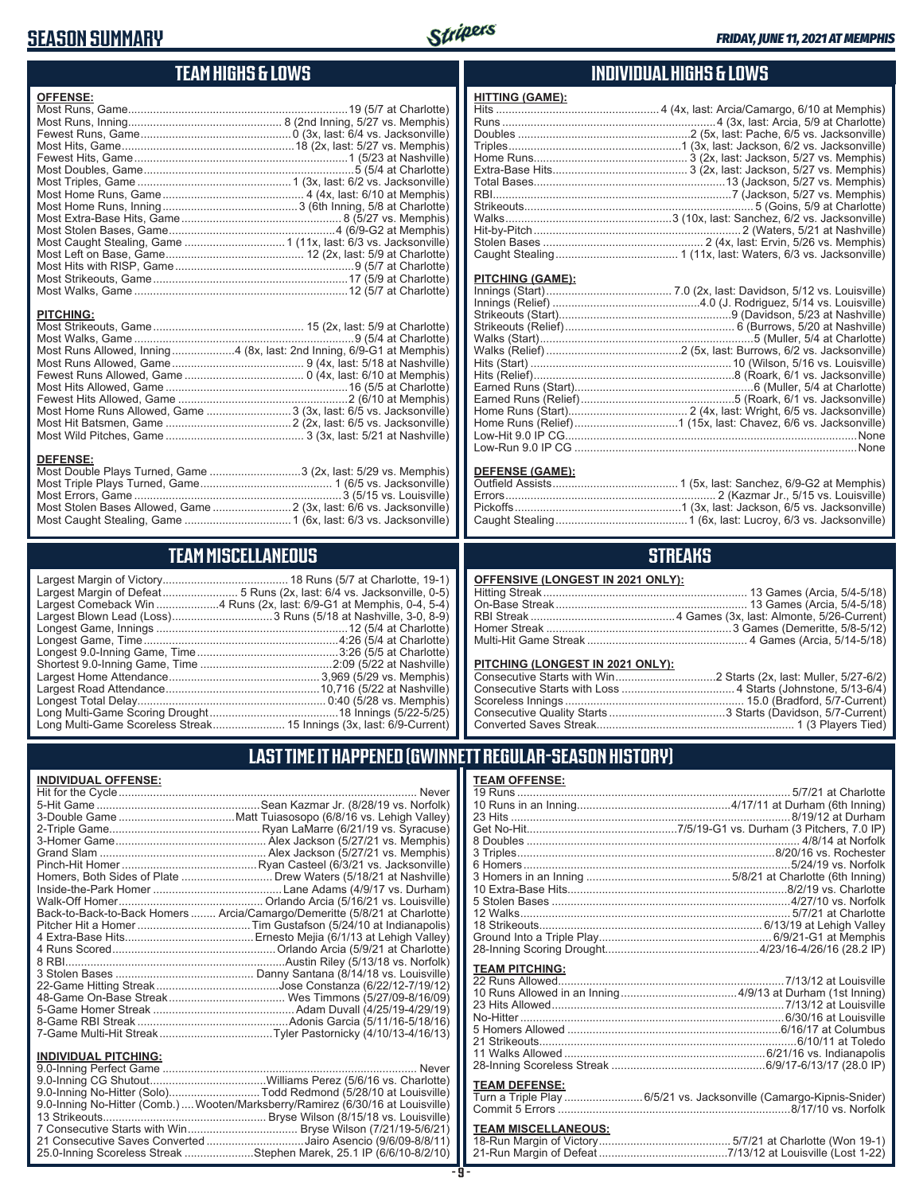# **SEASON SUMMARY**

**DEFENSE:**



#### **TEAM HIGHS & LOWS**

| <b>OFFENSE:</b> |                                                                      |
|-----------------|----------------------------------------------------------------------|
|                 |                                                                      |
|                 |                                                                      |
|                 |                                                                      |
|                 |                                                                      |
|                 |                                                                      |
|                 |                                                                      |
|                 |                                                                      |
|                 |                                                                      |
|                 |                                                                      |
|                 |                                                                      |
|                 |                                                                      |
|                 |                                                                      |
|                 |                                                                      |
|                 |                                                                      |
|                 |                                                                      |
|                 |                                                                      |
|                 |                                                                      |
| PITCHING:       |                                                                      |
|                 |                                                                      |
|                 |                                                                      |
|                 | Most Runs Allowed, Inning4 (8x, last: 2nd Inning, 6/9-G1 at Memphis) |
|                 |                                                                      |
|                 |                                                                      |
|                 |                                                                      |
|                 |                                                                      |
|                 | Most Home Runs Allowed, Game  3 (3x, last: 6/5 vs. Jacksonville)     |

Most Hit Batsmen, Game ........................................2 (2x, last: 6/5 vs. Jacksonville) Most Wild Pitches, Game ............................................ 3 (3x, last: 5/21 at Nashville)

Most Double Plays Turned, Game .............................3 (2x, last: 5/29 vs. Memphis) Most Triple Plays Turned, Game .......................................... 1 (6/5 vs. Jacksonville) Most Errors, Game ..................................................................3 (5/15 vs. Louisville) Most Stolen Bases Allowed, Game .........................2 (3x, last: 6/6 vs. Jacksonville) Most Caught Stealing, Game ..................................1 (6x, last: 6/3 vs. Jacksonville)

**TEAM MISCELLANEOUS** Largest Margin of Victory........................................ 18 Runs (5/7 at Charlotte, 19-1) Largest Margin of Defeat........................ 5 Runs (2x, last: 6/4 vs. Jacksonville, 0-5) Largest Comeback Win ....................4 Runs (2x, last: 6/9-G1 at Memphis, 0-4, 5-4) Largest Blown Lead (Loss) ................................3 Runs (5/18 at Nashville, 3-0, 8-9) Longest Game, Innings .............................................................12 (5/4 at Charlotte) Longest Game, Time ..............................................................4:26 (5/4 at Charlotte) Longest 9.0-Inning Game, Time .............................................3:26 (5/5 at Charlotte) Shortest 9.0-Inning Game, Time ..........................................2:09 (5/22 at Nashville) Largest Home Attendance ................................................ 3,969 (5/29 vs. Memphis) Largest Road Attendance .................................................10,716 (5/22 at Nashville) Longest Total Delay............................................................ 0:40 (5/28 vs. Memphis) Long Multi-Game Scoring Drought .........................................18 Innings (5/22-5/25) Long Multi-Game Scoreless Streak ....................... 15 Innings (3x, last: 6/9-Current)

#### **INDIVIDUAL HIGHS & LOWS**

| <b>HITTING (GAME):</b>  |  |
|-------------------------|--|
|                         |  |
|                         |  |
|                         |  |
|                         |  |
|                         |  |
|                         |  |
|                         |  |
|                         |  |
|                         |  |
|                         |  |
|                         |  |
|                         |  |
|                         |  |
|                         |  |
| <b>PITCHING (GAME):</b> |  |
|                         |  |
|                         |  |
|                         |  |
|                         |  |
|                         |  |
|                         |  |
|                         |  |
|                         |  |
|                         |  |

#### **DEFENSE (GAME):**

Earned Runs (Relief).................................................5 (Roark, 6/1 vs. Jacksonville) Home Runs (Start)...................................... 2 (4x, last: Wright, 6/5 vs. Jacksonville) Home Runs (Relief).................................1 (15x, last: Chavez, 6/6 vs. Jacksonville) Low-Hit 9.0 IP CG.............................................................................................None Low-Run 9.0 IP CG ..........................................................................................None

#### **STREAKS**

|  |  | OFFENSIVE (LONGEST IN 2021 ONLY): |
|--|--|-----------------------------------|
|--|--|-----------------------------------|

#### **PITCHING (LONGEST IN 2021 ONLY):**

19 Runs ....................................................................................... 5/7/21 at Charlotte 10 Runs in an Inning.................................................4/17/11 at Durham (6th Inning) 23 Hits .........................................................................................8/19/12 at Durham Get No-Hit................................................7/5/19-G1 vs. Durham (3 Pitchers, 7.0 IP) 8 Doubles ....................................................................................... 4/8/14 at Norfolk 3 Triples..................................................................................8/20/16 vs. Rochester 6 Homers.....................................................................................5/24/19 vs. Norfolk 3 Homers in an Inning ..............................................5/8/21 at Charlotte (6th Inning) 10 Extra-Base Hits......................................................................8/2/19 vs. Charlotte 5 Stolen Bases ............................................................................4/27/10 vs. Norfolk 12 Walks...................................................................................... 5/7/21 at Charlotte 18 Strikeouts....................................................................... 6/13/19 at Lehigh Valley Ground Into a Triple Play....................................................... 6/9/21-G1 at Memphis 28-Inning Scoring Drought.................................................4/23/16-4/26/16 (28.2 IP)

22 Runs Allowed........................................................................7/13/12 at Louisville 10 Runs Allowed in an Inning .....................................4/9/13 at Durham (1st Inning) 23 Hits Allowed ..........................................................................7/13/12 at Louisville No-Hitter ....................................................................................6/30/16 at Louisville 5 Homers Allowed ....................................................................6/16/17 at Columbus 21 Strikeouts..................................................................................6/10/11 at Toledo 11 Walks Allowed ................................................................6/21/16 vs. Indianapolis 28-Inning Scoreless Streak .................................................6/9/17-6/13/17 (28.0 IP)

Turn a Triple Play .........................6/5/21 vs. Jacksonville (Camargo-Kipnis-Snider) Commit 5 Errors ..........................................................................8/17/10 vs. Norfolk **TEAM MISCELLANEOUS:** 18-Run Margin of Victory .......................................... 5/7/21 at Charlotte (Won 19-1) 21-Run Margin of Defeat .........................................7/13/12 at Louisville (Lost 1-22)

## **LAST TIME IT HAPPENED (GWINNETT REGULAR-SEASON HISTORY)**

**TEAM OFFENSE:**

**TEAM PITCHING:**

**TEAM DEFENSE:**

| <b>INDIVIDUAL OFFENSE:</b>                                                 |                                                                                                                 |
|----------------------------------------------------------------------------|-----------------------------------------------------------------------------------------------------------------|
|                                                                            | Never                                                                                                           |
|                                                                            |                                                                                                                 |
|                                                                            |                                                                                                                 |
|                                                                            |                                                                                                                 |
|                                                                            |                                                                                                                 |
|                                                                            |                                                                                                                 |
|                                                                            |                                                                                                                 |
|                                                                            |                                                                                                                 |
|                                                                            |                                                                                                                 |
|                                                                            |                                                                                                                 |
| Back-to-Back-to-Back Homers  Arcia/Camargo/Demeritte (5/8/21 at Charlotte) |                                                                                                                 |
|                                                                            |                                                                                                                 |
|                                                                            |                                                                                                                 |
|                                                                            |                                                                                                                 |
|                                                                            |                                                                                                                 |
|                                                                            |                                                                                                                 |
|                                                                            |                                                                                                                 |
|                                                                            |                                                                                                                 |
|                                                                            |                                                                                                                 |
|                                                                            |                                                                                                                 |
|                                                                            |                                                                                                                 |
| <b>INDIVIDUAL PITCHING:</b>                                                |                                                                                                                 |
|                                                                            |                                                                                                                 |
|                                                                            | the contract of the contract of the contract of the contract of the contract of the contract of the contract of |

| 9.0-Inning No-Hitter (Solo)Todd Redmond (5/28/10 at Louisville)                |  |
|--------------------------------------------------------------------------------|--|
| 9.0-Inning No-Hitter (Comb.) Wooten/Marksberry/Ramirez (6/30/16 at Louisville) |  |
|                                                                                |  |
|                                                                                |  |
| 21 Consecutive Saves Converted Jairo Asencio (9/6/09-8/8/11)                   |  |
| 25.0-Inning Scoreless Streak Stephen Marek, 25.1 IP (6/6/10-8/2/10)            |  |

#### **- 9 -**